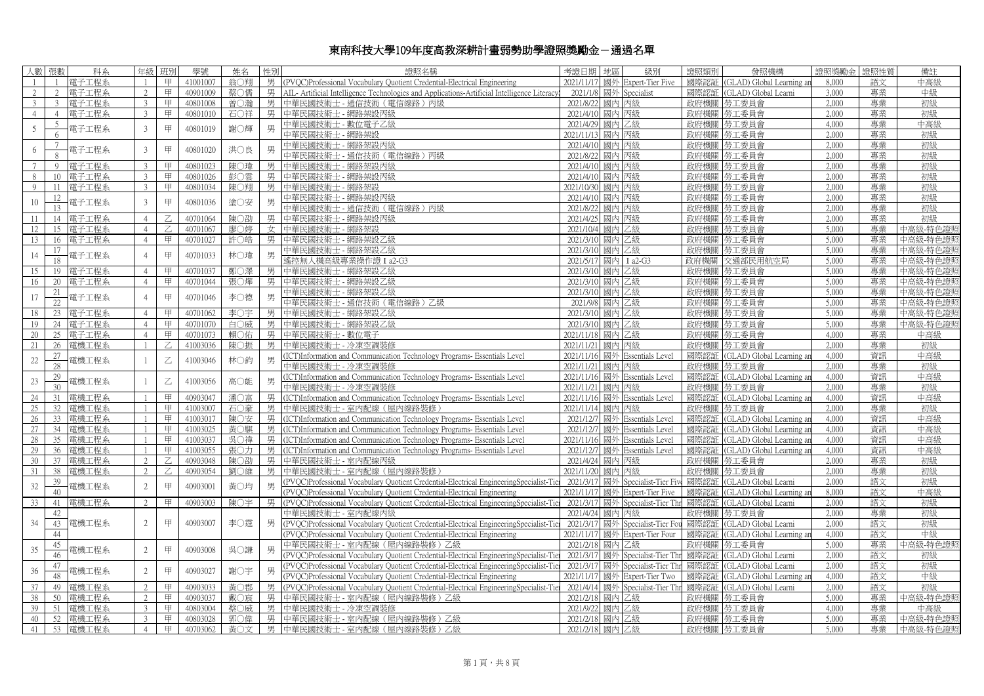## 東南科技大學109年度高教深耕計畫弱勢助學證照獎勵金-通過名單

|                              | 人數 張數           | 科系         | 年級             | 班別 | 學號       | 姓名  | 性別 | 證照名稱                                                                                          | 考證日期   地區            | 級別                               | 證照類別 | 發照機構                                                       | 證照獎勵金 | 證照性質 | 備註          |
|------------------------------|-----------------|------------|----------------|----|----------|-----|----|-----------------------------------------------------------------------------------------------|----------------------|----------------------------------|------|------------------------------------------------------------|-------|------|-------------|
| $\overline{1}$               | $\overline{1}$  | 電子工程系      | $\overline{1}$ | 甲  | 41001007 | 第○翔 |    | 男 (PVOC)Professional Vocabulary Quotient Credential-Electrical Engineering                    |                      | 2021/11/17 國外 Expert-Tier Five   | 國際認証 | (GLAD) Global Learning ar                                  | 8.000 | 語文   | 中高級         |
| 2                            | 2               | 雷子工程系      | 2              | 甲  | 40901009 | 蔡〇儒 |    | 男 AIL- Artificial Intelligence Technologies and Applications-Artificial Intelligence Literacy |                      | 2021/1/8 國外 Specialist           | 國際認証 | (GLAD) Global Learni                                       | 3,000 | 專業   | 中級          |
| 3                            | 3 <sup>7</sup>  | 電子工程系      | 3              | 甲  | 40801008 | 曾○瀚 |    | 男 中華民國技術士 - 通信技術 (電信線路) 丙級                                                                    | 2021/8/22 國內 丙級      |                                  | 政府機關 | 勞工委員會                                                      | 2,000 | 專業   | 初級          |
| $\overline{4}$               | $\overline{4}$  | 電子工程系      | $\overline{3}$ | 甲  | 40801010 | 石〇祥 | 男丨 | 中華民國技術士 - 網路架設丙級                                                                              | 2021/4/10 國內 丙級      |                                  | 政府機關 | 勞工委員會                                                      | 2,000 | 專業   | 初級          |
| 5                            | 5               | 電子工程系      | $\mathfrak{Z}$ | 甲  |          | 謝○輝 | 男  | 中華民國技術士 - 數位電子乙級                                                                              | 2021/4/29            | 國內 乙級                            |      | 政府機關  勞工委員會                                                | 4,000 | 專業   | 中高級         |
|                              | 6               |            |                |    | 40801019 |     |    | 中華民國技術十 - 網路架設                                                                                | 2021/11/13           | 國內丙級                             | 政府機關 | 勞工委員會                                                      | 2,000 | 專業   | 初級          |
|                              | $7\phantom{.0}$ |            | $\overline{3}$ |    | 40801020 |     |    | 中華民國技術士 - 網路架設丙級                                                                              | 2021/4/10 國內 丙級      |                                  |      | 政府機關 勞工委員會                                                 | 2,000 | 專業   | 初級          |
| 6                            | 8               | 電子工程系      |                | 甲  |          | 洪〇良 | 男  | 中華民國技術士 - 通信技術 (電信線路) 丙級                                                                      | 2021/8/22            | 國內丙級                             | 政府機關 | 勞工委員會                                                      | 2,000 | 專業   | 初級          |
| $7\phantom{.0}\phantom{.0}7$ | $\overline{9}$  | 電子工程系      | 3              | 甲  | 40801023 | 陳○瑋 | 男  | 中華民國技術士 - 網路架設丙級                                                                              | 2021/4/10 國內 丙級      |                                  |      | 政府機關 勞工委員會                                                 | 2.000 | 專業   | 初級          |
| -8                           | 10 <sup>1</sup> | 雷子工程系      | 3              | 甲  | 40801026 | 彭○雲 | 男丨 | 中華民國技術十 - 網路架設丙級                                                                              | 2021/4/10 國內 丙級      |                                  |      | 政府機關 勞工委員會                                                 | 2.000 | 專業   | 初級          |
| 9                            | 11              | 電子工程系      | 3              | 甲  | 40801034 | 陳〇翔 | 男丨 | 中華民國技術士 - 網路架設                                                                                | 2021/10/30 國內 丙級     |                                  |      | 政府機關   勞工委員會                                               | 2,000 | 專業   | 初級          |
| $10\,$                       | 12              | 電子工程系      | $\overline{3}$ | 甲  | 40801036 | 塗〇安 | 男  | 中華民國技術十 - 網路架設丙級                                                                              | 2021/4/10 國內 丙級      |                                  |      | 政府機關   勞工委員會                                               | 2.000 | 專業   | 初級          |
|                              | 13.             |            |                |    |          |     |    | 中華民國技術士 - 通信技術(電信線路)丙級                                                                        | 2021/8/22 國內 丙級      |                                  |      | 政府機關   勞工委員會                                               | 2,000 | 專業   | 初級          |
| -11                          | 14              | 雷子工程系      | $\overline{4}$ |    | 40701064 | 陳○劭 |    | 男 中華民國技術十 - 網路架設丙級                                                                            | 2021/4/25 國內 丙級      |                                  |      | 政府機關   勞工委員會                                               | 2,000 | 專業   | 初級          |
| 12                           | 15              | 雷子工程系      | $\overline{4}$ |    | 40701067 | 廖○婷 |    | 女 中華民國技術士 - 網路架設                                                                              | 2021/10/4 國內 乙級      |                                  |      | 政府機關   勞工委員會                                               | 5,000 | 專業   | 中高級-特色證!    |
| 13                           | 16              | 電子工程系      | $\overline{4}$ | 甲  | 40701027 | 許〇皓 | 男丨 | 中華民國技術士 - 網路架設乙級                                                                              | 2021/3/10 國內 乙級      |                                  |      | 政府機關   勞工委員會                                               | 5,000 | 專業   | 中高級-特色證!    |
| 14                           | 17              | 電子工程系      | $\overline{4}$ | 甲  | 40701033 | 林○瑋 | 男  | 中華民國技術士 - 網路架設乙級                                                                              | 2021/3/10            | 國內 乙級                            |      | 政府機關   勞工委員會                                               | 5,000 | 專業   | 中高級-特色證     |
|                              | 18              |            |                |    |          |     |    | 遙控無人機高級專業操作證 I a2-G3                                                                          | 2021/5/17 國內 I a2-G3 |                                  |      | 政府機關 交通部民用航空局                                              | 5,000 | 專業   | 中高級-特色證則    |
| 15                           | 19              | 電子工程系      | $\overline{4}$ | 甲  | 40701037 | 鄭〇澤 | 男  | 中華民國技術士 - 網路架設乙級                                                                              | 2021/3/10            | 國內乙級                             |      | 政府機關   勞工委員會                                               | 5,000 | 專業   | 中高級-特色證!    |
| 16                           | 20              | 電子工程系      | $\overline{4}$ | 甲  | 40701044 | 張○燁 | 男  | 中華民國技術士 - 網路架設乙級                                                                              | 2021/3/10 國內 乙級      |                                  |      | 政府機關 勞工委員會                                                 | 5,000 | 專業   | 中高級-特色證則    |
| 17                           | 21              | 電子工程系      | $\overline{4}$ | 甲  | 40701046 | 李○德 |    | 中華民國技術士 - 網路架設乙級                                                                              | 2021/3/10 國內 乙級      |                                  |      | 政府機關   勞工委員會                                               | 5,000 | 專業   | 中高級-特色證!    |
|                              | 22.             |            |                |    |          |     |    | 中華民國技術士 - 通信技術 (電信線路) 乙級                                                                      | 2021/9/8 國内 乙級       |                                  |      | 政府機關   勞工委員會                                               | 5.000 | 專業   | 中高級-特色證則    |
| 18                           | 23              | 電子工程系      | $\overline{4}$ | 甲  | 40701062 | 李〇字 |    | 男 中華民國技術士 - 網路架設乙級                                                                            | 2021/3/10 國內 乙級      |                                  |      | 政府機關 勞工委員會                                                 | 5.000 | 專業   | 中高級-特色證     |
| 19                           |                 | 24   電子工程系 | $\overline{4}$ | 甲  | 40701070 | 白〇威 |    | 男 中華民國技術士 - 網路架設乙級                                                                            | 2021/3/10 國內 乙級      |                                  |      | 政府機關   勞工委員會                                               | 5,000 | 專業   | 中高級-特色證照    |
| 20                           | 25              | 電子工程系      | $\overline{4}$ | 甲  | 40701073 | 賴〇佑 |    | 男 中華民國技術十 - 數位電子                                                                              | 2021/11/18 國內 乙級     |                                  |      | 政府機關   勞工委員會                                               | 4.000 | 專業   | 中高級         |
| 21                           | 26              | 電機工程系      | $\overline{1}$ | Z  | 41003036 | 陳〇振 |    | 男 中華民國技術士 - 冷凍空調裝修                                                                            | 2021/11/21 國內 丙級     |                                  |      | 政府機關   勞工委員會                                               | 2,000 | 專業   | 初級          |
| 22                           | 27              | 電機工程系      | -1             | Z  | 41003046 | 林○鈞 | 男  | (ICT)Information and Communication Technology Programs- Essentials Level                      |                      | 2021/11/16 國外 Essentials Level   |      | 國際認証 (GLAD) Global Learning ar                             | 4,000 | 資訊   | 中高級         |
|                              | 28              |            |                |    |          |     |    | 中華民國技術士 - 冷凍空調裝修                                                                              | 2021/11/21 國內 丙級     |                                  |      | 政府機關   勞工委員會                                               | 2.000 | 專業   | 初級          |
| $23\,$                       | 29              | 電機工程系      | -1             | Z  | 41003056 | 高○能 | 男  | (ICT)Information and Communication Technology Programs- Essentials Level                      |                      | 2021/11/16 國外 Essentials Level   |      | 國際認証 (GLAD) Global Learning an                             | 4,000 | 資訊   | 中高級         |
|                              | 30 <sup>°</sup> |            |                |    |          |     |    | 中華民國技術士 - 冷凍空調裝修                                                                              | 2021/11/21 國內 丙級     |                                  | 政府機關 | 勞工委員會                                                      | 2,000 | 專業   | 初級          |
| 24                           | 31              | 電機工程系      | $\mathbf{1}$   | 甲  | 40903047 | 潘○富 |    | 男 (ICT)Information and Communication Technology Programs- Essentials Level                    |                      | 2021/11/16 國外 Essentials Level   |      | 國際認証 (GLAD) Global Learning ar                             | 4,000 | 資訊   | 中高級         |
| 25                           | 32              | 電機工程系      |                | 甲  | 41003007 | 石〇豪 | 男丨 | 中華民國技術士 - 室内配線 (屋内線路裝修)                                                                       | 2021/11/14 國內 丙級     |                                  | 政府機關 | 勞工委員會                                                      | 2,000 | 專業   | 初級          |
| 26                           | 33              | 電機工程系      |                | 甲  | 41003017 | 陳〇安 |    | 男 (ICT)Information and Communication Technology Programs- Essentials Level                    |                      | 2021/12/7 國外 Essentials Level    |      | 國際認証 (GLAD) Global Learning an                             | 4,000 | 資訊   | 中高級         |
| 27                           | 34              | 雷機工程系      | $\overline{1}$ | 甲  | 41003025 | 黃○騏 |    | 男 (ICT)Information and Communication Technology Programs- Essentials Level                    |                      | 2021/12/7 國外 Essentials Level    | 國際認証 | (GLAD) Global Learning ar                                  | 4.000 | 資訊   | 中高級         |
| 28                           | 35              | 電機工程系      |                | 甲  | 41003037 | 吳〇禕 | 男丨 | (ICT)Information and Communication Technology Programs- Essentials Level                      |                      | 2021/11/16 國外 Essentials Level   | 國際認証 | (GLAD) Global Learning ar                                  | 4,000 | 資訊   | 中高級         |
| 29                           | 36              | 雷機工程系      |                | 甲  | 41003055 | 張〇力 |    | 男 (ICT)Information and Communication Technology Programs- Essentials Level                    |                      | 2021/12/7 國外 Essentials Level    | 國際認証 | (GLAD) Global Learning an                                  | 4.000 | 資訊   | 中高級         |
| 30                           | 37              | 雷機工程系      | $\overline{2}$ |    | 40903048 | 陳○劭 |    | 男 中華民國技術士 - 室内配線丙級                                                                            | 2021/4/24 國內 丙級      |                                  | 政府機關 | 勞工委員會                                                      | 2,000 | 專業   | 初級          |
| 31                           | 38              | 電機工程系      | $\overline{2}$ | Z. | 40903054 | 劉○維 |    | 男 中華民國技術士 - 室内配線 (屋内線路裝修)                                                                     | 2021/11/20 國內 丙級     |                                  | 政府機關 | 勞工委員會                                                      | 2.000 | 專業   | 初級          |
| 32                           | 39              | 電機工程系      | 2              | 甲  | 40903001 | 黃○均 | 男  | (PVQC)Professional Vocabulary Quotient Credential-Electrical EngineeringSpecialist-Tie        |                      | 2021/3/17 國外 Specialist-Tier Fiv | 國際認証 | (GLAD) Global Learni                                       | 2.000 | 語文   | 初級          |
|                              | 40              |            |                |    |          |     |    | (PVOC)Professional Vocabulary Quotient Credential-Electrical Engineering                      |                      | 2021/11/17 國外 Expert-Tier Five   | 國際認証 | (GLAD) Global Learning an                                  | 8,000 | 語文   | 中高級         |
| 33                           | 41              | 電機工程系      | $\overline{2}$ | 甲  | 40903003 | 陳〇宇 |    | (PVQC)Professional Vocabulary Quotient Credential-Electrical EngineeringSpecialist-Tie        |                      | 2021/3/17 國外 Specialist-Tier Thr | 國際認証 | (GLAD) Global Learni                                       | 2,000 | 語文   | 初級          |
|                              | 42              |            |                |    |          |     |    | 中華民國技術士 - 室内配線丙級                                                                              | 2021/4/24            | 國內 丙級                            | 政府機關 | 勞工委員會                                                      | 2,000 | 專業   | 初級          |
| 34                           | 43              | 電機工程系      | 2              | 甲  | 40903007 | 李〇霆 | 男  | (PVQC)Professional Vocabulary Quotient Credential-Electrical EngineeringSpecialist-Tie        |                      | 2021/3/17 國外 Specialist-Tier Fou | 國際認証 | (GLAD) Global Learni                                       | 2,000 | 語文   | 初級          |
|                              | 44              |            |                |    |          |     |    | (PVOC)Professional Vocabulary Quotient Credential-Electrical Engineering                      |                      | 2021/11/17 國外 Expert-Tier Four   | 國際認証 | (GLAD) Global Learning an                                  | 4,000 | 語文   | 中級          |
| 35                           | 45              | 電機工程系      | $\overline{2}$ | 甲  | 40903008 | 吳○謙 |    | 中華民國技術士 - 室内配線(屋内線路裝修)乙級                                                                      | 2021/2/18 國內 乙級      |                                  |      | 政府機關 勞工委員會                                                 | 5,000 | 專業   | 中高級-特色證照    |
|                              | 46              |            |                |    |          |     |    | (PVQC)Professional Vocabulary Quotient Credential-Electrical EngineeringSpecialist-Tie        |                      | 2021/3/17 國外 Specialist-Tier Thi |      | 國際認証 (GLAD) Global Learni                                  | 2.000 | 語文   | 初級          |
| 36                           | 47              | 電機工程系      | $\overline{2}$ | 甲  | 40903027 | 謝〇宇 |    | (PVQC)Professional Vocabulary Quotient Credential-Electrical EngineeringSpecialist-Tie        |                      | 2021/3/17 國外 Specialist-Tier Thr | 國際認証 | (GLAD) Global Learni                                       | 2.000 | 語文   | 初級          |
|                              | 48              |            |                |    |          |     |    | (PVOC)Professional Vocabulary Quotient Credential-Electrical Engineering                      |                      | 2021/11/17 國外 Expert-Tier Two    | 國際認証 | (GLAD) Global Learning an                                  | 4,000 | 語文   | 中級          |
| 37                           | 49              | 電機工程系      | 2              | 甲  | 40903033 | 黃〇郡 |    | 男 (PVOC)Professional Vocabulary Quotient Credential-Electrical EngineeringSpecialist-Tie      |                      |                                  |      | 2021/4/14 國外 Specialist-Tier Thr 國際認証 (GLAD) Global Learni | 2,000 | 語文   | 初級          |
| 38                           | 50              | 電機工程系      | 2              | 甲  | 40903037 | 戴○宸 |    | 男 中華民國技術士 - 室内配線 (屋内線路裝修) 乙級                                                                  | 2021/2/18 國內 乙級      |                                  |      | 政府機關   勞工委員會                                               | 5,000 | 專業   | 中高級-特色證照    |
| 39                           | 51              | 電機工程系      | $\mathcal{E}$  | 甲  | 40803004 | 蔡〇威 |    | 男 中華民國技術士 - 冷凍空調裝修                                                                            | 2021/9/22 國內 乙級      |                                  |      | 政府機關   勞工委員會                                               | 4,000 | 專業   | 中高級         |
| 40                           |                 | 52 電機工程系   | $\overline{3}$ | 甲  | 40803028 | 郭○偉 |    | 男 中華民國技術士 - 室内配線 (屋内線路裝修) 乙級                                                                  | 2021/2/18 國內 乙級      |                                  |      | 政府機關   勞工委員會                                               | 5,000 | 專業   | 中高級-特色證則    |
| 41                           |                 | 53 電機工程系   | 4              | 甲  | 40703062 | 黃○文 |    | 男 中華民國技術士 - 室内配線(屋内線路裝修)乙級                                                                    | 2021/2/18 國內 乙級      |                                  |      | 政府機關   勞工委員會                                               | 5,000 |      | 專業 中高級-特色證照 |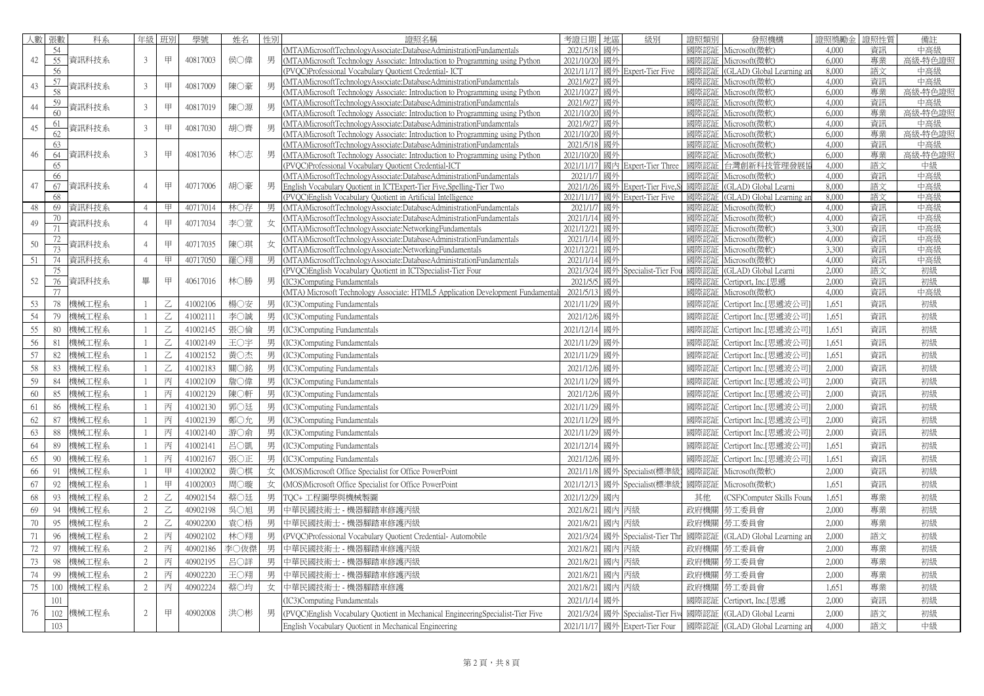| 人數     | 張數       | 科系    | 年級             | 班別             | 學號       | 姓名   | 性別 | 證照名稱                                                                                                                                                 | 考證日期                    | 地區       | 級別                     | 證照類別         | 發照機構                           | 證照獎勵金          | 證照性質     | 備註             |
|--------|----------|-------|----------------|----------------|----------|------|----|------------------------------------------------------------------------------------------------------------------------------------------------------|-------------------------|----------|------------------------|--------------|--------------------------------|----------------|----------|----------------|
|        | 54       |       |                |                |          |      |    | (MTA)MicrosoftTechnologyAssociate:DatabaseAdministrationFundamentals                                                                                 | 2021/5/18               | 國外       |                        | 國際認証         | Microsoft(微軟)                  | 4,000          | 資訊       | 中高級            |
| 42     | 55       | 資訊科技系 | $\overline{3}$ | 甲              | 40817003 | 侯○偉  | 男  | (MTA)Microsoft Technology Associate: Introduction to Programming using Python                                                                        | 2021/10/20              | 國外       |                        | 國際認証         | Microsoft(微軟)                  | 6,000          | 專業       | 高級-特色證照        |
|        | 56       |       |                |                |          |      |    | (PVQC)Professional Vocabulary Quotient Credential- ICT                                                                                               | 2021/11/17              |          | 國外 Expert-Tier Five    | 國際認証         | GLAD) Global Learning ar       | 8,000          | 語文       | 中高級            |
| 43     | 57       | 資訊科技系 | 3              | 甲              | 40817009 | 陳〇豪  | 男  | (MTA)MicrosoftTechnologyAssociate:DatabaseAdministrationFundamentals                                                                                 | 2021/9/27               | 國外       |                        | 國際認証         | Microsoft(微軟)                  | 4,000          | 資訊       | 中高級            |
|        | 58       |       |                |                |          |      |    | (MTA)Microsoft Technology Associate: Introduction to Programming using Python                                                                        | 2021/10/27              | 國外       |                        | 國際認証         | Microsoft(微軟)                  | 6,000          | 專業       | 高級-特色證照        |
| 44     | 59       | 資訊科技系 | 3              | 甲              | 40817019 | 陳〇源  | 男  | (MTA)MicrosoftTechnologyAssociate:DatabaseAdministrationFundamentals                                                                                 | 2021/9/27               | 國外       |                        | 國際認証         | Microsoft(微軟)                  | 4,000          | 資訊       | 中高級            |
|        | 60       |       |                |                |          |      |    | MTA)Microsoft Technology Associate: Introduction to Programming using Python                                                                         | 2021/10/20              | 國外       |                        | 國際認証         | Microsoft(微軟)                  | 6,000          | 專業       | 高級-特色證照        |
| 45     | 61       | 資訊科技系 | 3              | 甲              | 40817030 | 胡○齊  | 男  | (MTA)MicrosoftTechnologyAssociate:DatabaseAdministrationFundamentals                                                                                 | 2021/9/2                | 國外       |                        |              | 國際認証 Microsoft(微軟)             | 4,000          | 資訊       | 中高級            |
|        | 62       |       |                |                |          |      |    | (MTA)Microsoft Technology Associate: Introduction to Programming using Python                                                                        | 2021/10/20              | 國外       |                        | 國際認証         | Microsoft(微軟)                  | 6,000<br>4,000 | 專業       | 高級-特色證照<br>中高級 |
| 46     | 63<br>64 | 資訊科技系 | 3              | 甲              | 40817036 | 林○志  | 男  | MTA)MicrosoftTechnologyAssociate:DatabaseAdministrationFundamentals<br>(MTA)Microsoft Technology Associate: Introduction to Programming using Python | 2021/5/18<br>2021/10/20 | 國外<br>國外 |                        | 國際認証<br>國際認証 | Microsoft(微軟)<br>Microsoft(微軟) | 6,000          | 資訊<br>專業 | 高級-特色證照        |
|        | 65       |       |                |                |          |      |    | (PVQC)Professional Vocabulary Quotient Credential-ICT                                                                                                | 2021/11/17              |          | 國內 Expert-Tier Three   | 國際認証         | 台灣創新科技管理發展                     | 4,000          | 語文       | 中級             |
|        | 66       |       |                |                |          |      |    | (MTA)MicrosoftTechnologyAssociate:DatabaseAdministrationFundamentals                                                                                 | 2021/1/7                | 國外       |                        | 國際認証         | Microsoft(微軟)                  | 4,000          | 資訊       | 中高級            |
| 47     | 67       | 資訊科技系 | $\overline{4}$ | 甲              | 40717006 | 胡〇豪  | 男  | English Vocabulary Quotient in ICTExpert-Tier Five, Spelling-Tier Two                                                                                | 2021/1/26               |          | 國外 Expert-Tier Five    | 國際認証         | (GLAD) Global Learni           | 8,000          | 語文       | 中高級            |
|        | 68       |       |                |                |          |      |    | (PVQC) English Vocabulary Quotient in Artificial Intelligence                                                                                        | 2021/11/17              |          | 國外 Expert-Tier Five    | 國際認証         | (GLAD) Global Learning ar      | 8,000          | 語文       | 中高級            |
| 48     | 69       | 資訊科技系 | $\overline{4}$ | 甲              | 40717014 | 林○存  | 男  | (MTA)MicrosoftTechnologyAssociate:DatabaseAdministrationFundamentals                                                                                 | 2021/1/7                | 國外       |                        |              | 國際認証 Microsoft(微軟)             | 4,000          | 資訊       | 中高級            |
| 49     | 70       | 資訊科技系 |                | 甲              | 40717034 | 李〇萱  | 女  | (MTA)MicrosoftTechnologyAssociate:DatabaseAdministrationFundamentals                                                                                 | 2021/1/14               | 國外       |                        | 國際認証         | Microsoft(微軟)                  | 4,000          | 資訊       | 中高級            |
|        | 71       |       |                |                |          |      |    | (MTA)MicrosoftTechnologyAssociate:NetworkingFundamentals                                                                                             | 2021/12/21              | 國外       |                        | 國際認証         | Microsoft(微軟)                  | 3,300          | 資訊       | 中高級            |
| 50     | 72       | 資訊科技系 | $\overline{4}$ | 甲              | 40717035 | 陳〇琪  | 女  | (MTA)MicrosoftTechnologyAssociate:DatabaseAdministrationFundamentals                                                                                 | 2021/1/14               | 國外       |                        |              | 國際認証 Microsoft(微軟)             | 4,000          | 資訊       | 中高級            |
|        | 73       |       |                |                |          |      |    | MTA)MicrosoftTechnologyAssociate:NetworkingFundamentals                                                                                              | 2021/12/21              | 國外       |                        | 國際認証         | Microsoft(微軟)                  | 3,300          | 資訊       | 中高級            |
| 51     | 74       | 資訊科技系 | $\overline{4}$ | 甲              | 40717050 | 羅〇翔  |    | (MTA)MicrosoftTechnologyAssociate:DatabaseAdministrationFundamentals                                                                                 | 2021/1/14               | 國外       |                        | 國際認証         | Microsoft(微軟)                  | 4,000          | 資訊       | 中高級            |
|        | 75       |       |                |                |          |      |    | PVOC)English Vocabulary Quotient in ICTSpecialist-Tier Four                                                                                          | 2021/3/24               |          | 國外 Specialist-Tier Fou | 國際認証         | (GLAD) Global Learni           | 2,000          | 語文       | 初級             |
| 52     | 76       | 資訊科技系 | 畢              | 甲              | 40617016 | 林○勝  | 男  | (IC3)Computing Fundamentals                                                                                                                          | 2021/5/5                | 國外       |                        | 國際認証         | Certiport, Inc.[思遞             | 2,000          | 資訊       | 初級             |
|        | 77       |       |                |                |          |      |    | (MTA) Microsoft Technology Associate: HTML5 Application Development Fundamenta                                                                       | 2021/5/1                | 國外       |                        |              | 國際認証 Microsoft(微軟)             | 4,000          | 資訊       | 中高級            |
| 53     | 78       | 機械工程系 | $\mathbf{1}$   | Ζ              | 41002106 | 楊○安  | 男  | IC3)Computing Fundamentals                                                                                                                           | 2021/11/29              | 國外       |                        | 國際認証         | Certiport Inc.[思遞波公司           | 1,651          | 資訊       | 初級             |
| 54     | 79       | 機械工程系 |                |                | 41002111 | 李○誠  | 男  | IC3)Computing Fundamentals                                                                                                                           | 2021/12/6               | 國外       |                        | 國際認証         | Certiport Inc.[思遞波公司           | 1,651          | 資訊       | 初級             |
| 55     | 80       | 機械工程系 | $\overline{1}$ | Z              | 41002145 | 張○倫  | 男  | IC3)Computing Fundamentals                                                                                                                           | 2021/12/14              | 國外       |                        | 國際認証         | Certiport Inc.[思遞波公司           | 1,651          | 資訊       | 初級             |
| 56     | 81       | 機械工程系 |                | Z              | 41002149 | 王〇宇  | 男  | IC3)Computing Fundamentals                                                                                                                           | 2021/11/29              | 國外       |                        | 國際認証         | Certiport Inc.[思遞波公司           | 1,651          | 資訊       | 初級             |
| 57     | 82       | 機械工程系 |                | Z              | 41002152 | 黃○杰  | 男  | (IC3)Computing Fundamentals                                                                                                                          | 2021/11/29              | 國外       |                        | 國際認証         | Certiport Inc.[思遞波公司           | 1,651          | 資訊       | 初級             |
| 58     | 83       | 機械工程系 |                | Z              | 41002183 | 關〇銘  | 男  | IC3)Computing Fundamentals                                                                                                                           | 2021/12/6               | 國外       |                        | 國際認証         | Certiport Inc.[思遞波公司           | 2,000          | 資訊       | 初級             |
| 59     | 84       | 機械工程系 |                | 丙              | 41002109 | 詹〇偉  | 男  | IC3)Computing Fundamentals                                                                                                                           | 2021/11/29              | 國外       |                        | 國際認証         | Certiport Inc.[思遞波公司           | 2,000          | 資訊       | 初級             |
| 60     | 85       |       |                |                | 41002129 |      |    |                                                                                                                                                      |                         | 國外       |                        | 國際認証         |                                | 2,000          | 資訊       |                |
|        |          | 機械工程系 |                | 丙              |          | 陳〇軒  | 男  | IC3)Computing Fundamentals                                                                                                                           | 2021/12/6               |          |                        |              | Certiport Inc.[思遞波公司           |                |          | 初級             |
| 61     | 86       | 機械工程系 |                | 丙              | 41002130 | 郭〇廷  | 男  | IC3)Computing Fundamentals                                                                                                                           | 2021/11/29              | 國外       |                        | 國際認証         | Certiport Inc.[思遞波公司           | 2,000          | 資訊       | 初級             |
| 62     | 87       | 機械工程系 |                | 丙              | 41002139 | 鄭○允  | 男  | (IC3)Computing Fundamentals                                                                                                                          | 2021/11/29              | 國外       |                        | 國際認証         | Certiport Inc.[思遞波公司           | 2,000          | 資訊       | 初級             |
| 63     | 88       | 機械工程系 |                | 丙              | 41002140 | 游○俞  | 男  | IC3)Computing Fundamentals                                                                                                                           | 2021/11/29              | 國外       |                        | 國際認証         | Certiport Inc.[思遞波公司           | 2,000          | 資訊       | 初級             |
| 64     | 89       | 機械工程系 |                | 丙              | 41002141 | 呂〇凱  | 男  | IC3)Computing Fundamentals                                                                                                                           | 2021/12/14              | 國外       |                        | 國際認証         | Certiport Inc.[思遞波公司           | 1,651          | 資訊       | 初級             |
| 65     | 90       | 機械工程系 |                | 丙              | 41002167 | 張〇正  | 男  | IC3)Computing Fundamentals                                                                                                                           | 2021/12/6               | 國外       |                        | 國際認証         | Certiport Inc.[思遞波公司           | 1,651          | 資訊       | 初級             |
| 66     | 91       | 機械工程系 | $\overline{1}$ | 甲              | 41002002 | 黃○棋  | 女  | (MOS)Microsoft Office Specialist for Office PowerPoint                                                                                               | 2021/11/8               |          | 國外 Specialist(標準       | 國際認証         | Microsoft(微軟)                  | 2,000          | 資訊       | 初級             |
| 67     | 92       | 機械工程系 |                | 甲              | 41002003 | 周○璇  | 女  | (MOS)Microsoft Office Specialist for Office PowerPoint                                                                                               | 2021/12/13              |          | 國外 Specialist(標準       | 國際認証         | Microsoft(微軟)                  | 1,651          | 資訊       | 初級             |
|        |          |       |                |                |          |      |    |                                                                                                                                                      |                         |          |                        |              |                                |                |          |                |
| 68     | 93       | 機械工程系 | $\overline{2}$ | Z              | 40902154 | 蔡〇廷  | 男  | TQC+ 工程圖學與機械製圖                                                                                                                                       | 2021/12/29              | 國內       |                        | 其他           | CSF)Computer Skills Foun       | 1,651          | 專業       | 初級             |
| 69     | 94       | 機械工程系 | 2              | $\overline{C}$ | 40902198 | 吳○旭  | 男  | 中華民國技術士 - 機器腳踏車修護丙級                                                                                                                                  | 2021/8/21               |          | 國內 丙級                  | 政府機關         | 勞工委員會                          | 2,000          | 專業       | 初級             |
| 70     | 95       | 機械工程系 | 2              | Z              | 40902200 | 袁〇梧  | 男  | 中華民國技術士 - 機器腳踏車修護丙級                                                                                                                                  | 2021/8/21               | 國內       | 丙級                     | 政府機關         | 勞工委員會                          | 2,000          | 專業       | 初級             |
| 71     | 96       | 機械工程系 | 2              | 丙              | 40902102 | 林○翔  | 男  | (PVQC)Professional Vocabulary Quotient Credential-Automobile                                                                                         | 2021/3/24               |          | 國外 Specialist-Tier Thr | 國際認証         | (GLAD) Global Learning ar      | 2,000          | 語文       | 初級             |
| $72\,$ | 97       | 機械工程系 | $\overline{2}$ | 丙              | 40902186 | 李〇伖傑 | 男  | 中華民國技術士 - 機器腳踏車修護丙級                                                                                                                                  | 2021/8/21               | 國內       | 丙級                     | 政府機關         | 勞工委員會                          | 2,000          | 專業       | 初級             |
| 73     | 98       | 機械工程系 | 2              | 丙              | 40902195 | 呂〇詳  | 男  | 中華民國技術士 - 機器腳踏車修護丙級                                                                                                                                  | 2021/8/21               |          | 國內 丙級                  | 政府機關         | 勞工委員會                          | 2,000          | 專業       | 初級             |
| 74     | -99      | 機械工程系 | 2              | 丙              | 40902220 | 王〇翔  | 男  | 中華民國技術士 - 機器腳踏車修護丙級                                                                                                                                  | 2021/8/21               | 國內       | 丙級                     | 政府機關         | 勞工委員會                          | 2,000          | 專業       | 初級             |
|        |          |       |                |                |          |      |    |                                                                                                                                                      |                         |          |                        |              |                                |                |          |                |
| 75     | 100      | 機械工程系 | 2              | 丙              | 40902224 | 蔡○均  |    | 女 中華民國技術士 - 機器腳踏車修護                                                                                                                                  | 2021/8/21               | 國內       | 丙級                     | 政府機關         | 勞工委員會                          | 1,651          | 專業       | 初級             |
|        | 101      |       |                |                |          |      |    | IC3)Computing Fundamentals                                                                                                                           | 2021/1/14               | 國外       |                        | 國際認証         | Certiport, Inc.[思遞             | 2,000          | 資訊       | 初級             |
| 76     | 102      | 機械工程系 | 2              | 甲              | 40902008 | 洪〇彬  | 男  | (PVQC) English Vocabulary Quotient in Mechanical Engineering Specialist-Tier Five                                                                    | 2021/3/24               |          | 國外 Specialist-Tier Fiv | 國際認証         | (GLAD) Global Learni           | 2,000          | 語文       | 初級             |
|        | 103      |       |                |                |          |      |    | English Vocabulary Quotient in Mechanical Engineering                                                                                                | 2021/11/17              |          | 國外 Expert-Tier Four    |              | 國際認証 (GLAD) Global Learning an | 4,000          | 語文       | 中級             |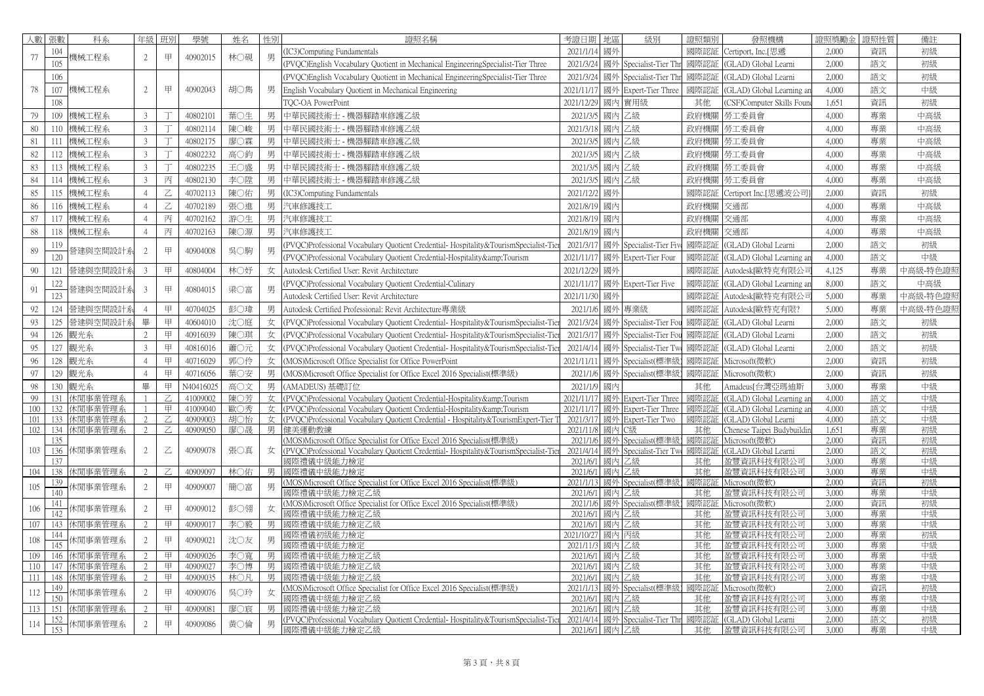| 人數   | 張數         | 科系       | 年級             | 班別          | 學號        | 姓名  | 性別 | 證照名稱                                                                                | 考證日期                   | 地區       | 級別                       | 證照類別      | 發照機構                     | 證照獎勵金          | 證照性質     | 備註       |
|------|------------|----------|----------------|-------------|-----------|-----|----|-------------------------------------------------------------------------------------|------------------------|----------|--------------------------|-----------|--------------------------|----------------|----------|----------|
|      | 104        |          |                |             |           |     |    | IC3)Computing Fundamentals                                                          | 2021/1/14              | 國外       |                          | 國際認証      | Certiport, Inc.[思遞       | 2,000          | 資訊       | 初級       |
| 77   | 105        | 機械工程系    | 2              | 甲           | 40902015  | 林○硯 | 男  | (PVQC)English Vocabulary Quotient in Mechanical EngineeringSpecialist-Tier Three    | 2021/3/24              |          | 國外 Specialist-Tier Th    | 國際認証      | (GLAD) Global Learni     | 2,000          | 語文       | 初級       |
|      | 106        |          |                |             |           |     |    | (PVQC)English Vocabulary Quotient in Mechanical EngineeringSpecialist-Tier Three    | 2021/3/24              |          | 國外 Specialist-Tier Th    | 國際認証      | GLAD) Global Learni      | 2,000          | 語文       | 初級       |
| 78   | 107        | 機械工程系    | $\overline{2}$ | 甲           | 40902043  | 胡○雋 | 男  | English Vocabulary Quotient in Mechanical Engineering                               | 2021/11/17             |          | 國外 Expert-Tier Three     | 國際認証      | GLAD) Global Learning a  | 4,000          | 語文       | 中級       |
|      | 108        |          |                |             |           |     |    | <b>FQC-OA PowerPoint</b>                                                            | 2021/12/29             | 國內       | 實用級                      | 其他        | CSF)Computer Skills Four | 1,651          | 資訊       | 初級       |
| 79   | 109        | 機械工程系    | $\mathfrak{Z}$ |             | 40802101  | 葉〇生 | 男  | 中華民國技術士 - 機器腳踏車修護乙級                                                                 | 2021/3/5               | 國內       | 乙級                       | 政府機關      | 勞工委員會                    | 4,000          | 專業       | 中高級      |
| 80   | 110        | 機械工程系    | $\overline{3}$ |             | 40802114  | 陳○峻 | 男  | 中華民國技術士 - 機器腳踏車修護乙級                                                                 | 2021/3/18              | 國內       | 乙級                       | 政府機關      | 勞工委員會                    | 4,000          | 專業       | 中高級      |
| 81   | 111        | 機械工程系    | $\mathfrak{Z}$ |             | 40802175  | 廖〇霖 | 男  | 中華民國技術士 - 機器腳踏車修護乙級                                                                 | 2021/3/5               |          | 國內乙級                     |           | 政府機關  勞工委員會              | 4,000          | 專業       | 中高級      |
| 82   | 112        | 機械工程系    | $\mathfrak{Z}$ |             | 40802232  | 高〇鈞 | 男  | 中華民國技術士 - 機器腳踏車修護乙級                                                                 | 2021/3/5               |          | 國内乙級                     | 政府機關      | 勞工委員會                    | 4,000          | 專業       | 中高級      |
| 83   | 113        | 機械工程系    | $\overline{3}$ | T           | 40802235  | 王〇盛 | 男  | 中華民國技術士 - 機器腳踏車修護乙級                                                                 | 2021/3/5               |          | 國內 乙級                    |           | 政府機關 勞工委員會               | 4,000          | 專業       | 中高級      |
| 84   | 114        | 機械工程系    | $\mathbf{3}$   | 丙           | 40802130  | 李〇陞 | 男  | 中華民國技術士 - 機器腳踏車修護乙級                                                                 | 2021/3/5               | 國內       | 乙級                       | 政府機關      | 勞工委員會                    | 4,000          | 專業       | 中高級      |
| 85   | 115        | 機械工程系    | $\overline{4}$ | Z           | 40702113  | 陳○佑 | 男  | IC3)Computing Fundamentals                                                          | 2021/12/2              | 國外       |                          | 國際認証      | Certiport Inc.[思遞波公司     | 2,000          | 資訊       | 初級       |
| 86   | 116        | 機械工程系    | $\overline{4}$ | Z           | 40702189  | 張○進 | 男  | 汽車修護技工                                                                              | 2021/8/19              | 國內       |                          | 政府機關      | 交通部                      | 4,000          | 專業       | 中高級      |
| 87   | 117        | 機械工程系    | $\overline{4}$ | 丙           | 40702162  | 游○生 | 男  | 汽車修護技工                                                                              | 2021/8/19              | 國內       |                          | 政府機關      | 交通部                      | 4.000          | 專業       | 中高級      |
| 88   | 118        | 機械工程系    | $\overline{4}$ | 丙           | 40702163  | 陳○源 | 男  | 汽車修護技工                                                                              | 2021/8/19              | 國內       |                          | 政府機關      | 交通部                      | 4,000          | 專業       | 中高級      |
|      | 119        |          |                |             |           |     |    | PVQC)Professional Vocabulary Quotient Credential- Hospitality&TourismSpecialist-Tie | 2021/3/17              |          | 國外 Specialist-Tier Fiv   | 國際認証      | (GLAD) Global Learni     | 2,000          | 語文       | 初級       |
| 89   | 120        | 營建與空間設計系 | 2              | 甲           | 40904008  | 吳○駒 | 男  | (PVQC)Professional Vocabulary Quotient Credential-Hospitality&Tourism               | 2021/11/17             | 國外       | Expert-Tier Four         | 國際認証      | GLAD) Global Learning ar | 4,000          | 語文       | 中級       |
| 90   | 121        | 營建與空間設計系 | $\overline{3}$ | 甲           | 40804004  | 林○妤 | 女  | Autodesk Certified User: Revit Architecture                                         | 2021/12/29             | 國外       |                          | 國際認証      | Autodesk[歐特克有限公i         | 4.125          | 專業       | 中高級-特色證則 |
|      | 122        |          |                |             |           |     |    | (PVQC)Professional Vocabulary Quotient Credential-Culinary                          | 2021/11/17             |          | 國外 Expert-Tier Five      | 國際認証      | GLAD) Global Learning an | 8,000          | 語文       | 中高級      |
| 91   | 123        | 營建與空間設計系 | 3              | 甲           | 40804015  | 梁○富 | 男  | Autodesk Certified User: Revit Architecture                                         | 2021/11/30             | 國外       |                          | 國際認証      | Autodesk[歐特克有限公i         | 5,000          | 專業       | 中高級-特色證  |
| 92   | 124        | 營建與空間設計  | $\overline{4}$ | 甲           | 40704025  | 彭○瑋 | 男  | Autodesk Certified Professional: Revit Architecture專業級                              | 2021/1/6               |          | 國外 專業級                   | 國際認証      | Autodesk[歐特克有限?          | 5,000          | 專業       | 中高級-特色證則 |
| 93   | 125        | 營建與空間設計  | 畢              | 甲           | 40604010  | 沈〇庭 | 女  | (PVQC)Professional Vocabulary Quotient Credential-Hospitality&TourismSpecialist-Ti  | 2021/3/24              |          | 國外 Specialist-Tier Fou   | 國際認証      | GLAD) Global Learni      | 2,000          | 語文       | 初級       |
| 94   | 126        | 觀光系      | 2              | 甲           | 40916039  | 陳○琪 | 女  | (PVOC)Professional Vocabulary Quotient Credential-Hospitality&TourismSpecialist-Tie | 2021/3/1               |          | 國外 Specialist-Tier Fo    | 國際認証      | GLAD) Global Learni      | 2,000          | 語文       | 初級       |
| 95   | 127        | 觀光系      | $\mathfrak{Z}$ | 甲           | 40816016  | 蕭〇元 | 女  | (PVQC)Professional Vocabulary Quotient Credential-Hospitality&TourismSpecialist-Tie | 2021/4/14              |          | 國外 Specialist-Tier T     | 國際認証      | GLAD) Global Learni      | 2,000          | 語文       | 初級       |
| 96   | 128        | 觀光系      | $\overline{4}$ | 甲           | 40716029  | 郭〇伶 | 女  | (MOS)Microsoft Office Specialist for Office PowerPoint                              | 2021/11/1              |          | 國外 Specialist(標準         | 國際認証      | vlicrosoft(微軟)           | 2,000          | 資訊       | 初級       |
| 97   | 129        | 觀光系      | $\overline{4}$ | 甲           | 40716056  | 葉○安 | 男  | (MOS)Microsoft Office Specialist for Office Excel 2016 Specialist(標準級)              | 2021/1/6               | 國外       | Specialist(標準            | 國際認証      | Microsoft(微軟)            | 2,000          | 資訊       | 初級       |
| 98   | 130        | 觀光系      | 畢              | 甲           | N40416025 | 高〇文 | 男  | AMADEUS) 基礎訂位                                                                       | 2021/1/9               | 國內       |                          | 其他        | Amadeus[台灣亞瑪迪斯           | 3,000          | 專業       | 中級       |
| 99   | 131        | 休閒事業管理系  |                |             | 41009002  | 陳〇芳 | 女  | (PVOC)Professional Vocabulary Quotient Credential-Hospitality&Tourism               | 2021/11/1              | 國外       | <b>Expert-Tier Three</b> | 國際認       | GLAD) Global Learning an | 4,000          | 語文       | 中級       |
| 100  | 132        | 休閒事業管理系  | $\overline{1}$ | 甲           | 41009040  | 歐〇秀 | 女  | (PVOC)Professional Vocabulary Quotient Credential-Hospitality&Tourism               | 2021/11/1              | 國外       | Expert-Tier Three        | 國際認証      | GLAD) Global Learning an | 4.000          | 語文       | 中級       |
| 101  | 133        | 休閒事業管理系  | $\overline{2}$ |             | 40909003  | 胡〇怡 | 女  | (PVOC)Professional Vocabulary Quotient Credential - Hospitality&TourismExpert-Tier  | 2021/3/17              |          | 國外 Expert-Tier Two       | 國際認       | GLAD) Global Learni      | 4,000          | 語文       | 中級       |
| 102  | 134        | 休閒事業管理系  | $2^{1}$        |             | 40909050  | 廖○晟 | 男  | 健美運動教練                                                                              | 2021/11/8              | 國內       | C級                       | 其他        | henese Taipei Budybuildi | 1.651          | 專業       | 初級       |
|      | 135        |          |                |             |           |     |    | MOS)Microsoft Office Specialist for Office Excel 2016 Specialist(標準級)               | 2021/1/6               |          | 國外 Specialist(標準         | 國際認       | Microsoft(微軟)            | 2.000          | 資訊       | 初級       |
| 103  | 136        | 休閒事業管理系  | $\overline{2}$ | $\mathbb Z$ | 40909078  | 張〇真 | 女  | (PVQC)Professional Vocabulary Quotient Credential-Hospitality&TourismSpecialist-Ti  | 2021/4/14              |          | 國外 Specialist-Tier Tw    | 國際認       | GLAD) Global Learni      | 2,000          | 語文       | 初級       |
| 104  | 137<br>138 | 休閒事業管理系  | 2              |             | 40909097  | 林○佑 | 男  | 國際禮儀中級能力檢定<br>國際禮儀中級能力檢定                                                            | 2021/6/1<br>2021/6/1   | 國內<br>國內 | 乙級<br>乙級                 | 其他<br>其他  | 盈豐資訊科技有限公司<br>盈豐資訊科技有限公司 | 3,000<br>3,000 | 專業<br>專業 | 中級<br>中級 |
|      | 139        |          |                |             |           |     |    | MOS)Microsoft Office Specialist for Office Excel 2016 Specialist(標準級)               | 2021/1/13              |          | 國外 Specialist(標準級        | 國際認証      | vlicrosoft(微軟)           | 2,000          | 資訊       | 初級       |
| 105  | 140        | 木閒事業管理系  | $\overline{2}$ | 甲           | 40909007  | 簡〇富 | 男  | 娜際禮儀中級能力檢定乙級                                                                        | 2021/6/1               | 國內       | 乙級                       | 其他        | 盈豐資訊科技有限公司               | 3,000          | 專業       | 中級       |
| 106  | 141        | 木閒事業管理系  | 2              | 甲           | 40909012  | 彭〇翎 | 女  | MOS)Microsoft Office Specialist for Office Excel 2016 Specialist(標準級)               | 2021/1/6               |          | 國外 Specialist(標準級        | 國際認       | Microsoft(微軟)            | 2,000          | 資訊       | 初級       |
|      | 142        |          | $\mathcal{D}$  | 甲           |           |     |    | 哪際禮儀中級能力檢定乙級                                                                        | 2021/6/1               |          | 國內 乙級                    | 其他<br>其他  | 盈豐資訊科技有限公司               | 3.000          | 專業       | 中級<br>中級 |
| 107  | 143<br>144 | 休間事業管理系  |                |             | 40909017  | 李○毅 | 男  | 剥際禮儀中級能力檢定乙級<br>郾際禮儀初級能力檢定                                                          | 2021/6/1<br>2021/10/27 |          | 國內乙級<br>國內 丙級            | 其他        | 盈豐資訊科技有限公司<br>盈豐資訊科技有限公司 | 3.000<br>2,000 | 專業<br>專業 | 初級       |
| 108  | 145        | 木閒事業管理系  | $\overline{2}$ | 甲           | 40909021  | 沈〇友 | 男  | 郾際禮儀中級能力檢定                                                                          | 2021/11/3              |          | 國內 乙級                    | 其他        | 盈豐資訊科技有限公司               | 3,000          | 專業       | 中級       |
| 109  | 146        | 休閒事業管理系  | $\mathfrak{D}$ | 甲           | 40909026  | 李〇寬 | 男  | 國際禮儀中級能力檢定乙級                                                                        | 2021/6/1               |          | 國內 乙級                    | 其他        | 盈豐資訊科技有限公司               | 3,000          | 專業       | 中級       |
| 110  | 147        | 休閒事業管理系  | $\mathfrak{D}$ | 甲           | 40909027  | 李〇博 | 男  | 國際禮儀中級能力檢定乙級                                                                        | 2021/6/1               |          | 國内乙級                     | 其他        | 盈豐資訊科技有限公司               | 3,000          | 專業       | 中級       |
| -111 | 148        | 休閒事業管理系  | 2              | 甲           | 40909035  | 林○凡 | 男  | 剥際禮儀中級能力檢定乙級                                                                        | 2021/6/                | 國內       | 乙級                       | 其他        | 盈豐資訊科技有限公司               | 3,000          | 專業       | 中級       |
| 112  | 149<br>150 | 木閒事業管理系  | $\mathbf{2}$   | 甲           | 40909076  | 吳○玲 | 女  | MOS)Microsoft Office Specialist for Office Excel 2016 Specialist(標準級)               | 2021/1/13<br>2021/6/1  |          | 國外 Specialist(標準級        | 國際認<br>其他 | Microsoft(微軟)            | 2.000<br>3,000 | 資訊       | 初級       |
| 113  | 151        | 休閒事業管理系  | $\mathfrak{D}$ | 甲           | 40909081  | 廖〇宸 | 男  | 國際禮儀中級能力檢定乙級<br>网際禮儀中級能力檢定乙級                                                        | 2021/6/1               | 國內<br>國內 | 乙級<br>乙級                 | 其他        | 盈豐資訊科技有限公司<br>盈豐資訊科技有限公司 | 3.000          | 專業<br>專業 | 中級<br>中級 |
|      | 152        |          |                |             |           |     |    | PVQC)Professional Vocabulary Quotient Credential-Hospitality&TourismSpecialist-Tie  | 2021/4/14              | 國外       | Specialist-Tier Thr      | 國際認証      | GLAD) Global Learni      | 2.000          | 語文       | 初級       |
| 114  | 153        | 木閒事業管理系  | $\overline{2}$ | 甲           | 40909086  | 黃○倫 | 男  | 國際禮儀中級能力檢定乙級                                                                        | 2021/6/1               |          | 國內 乙級                    | 其他        | 盈豐資訊科技有限公司               | 3,000          | 專業       | 中級       |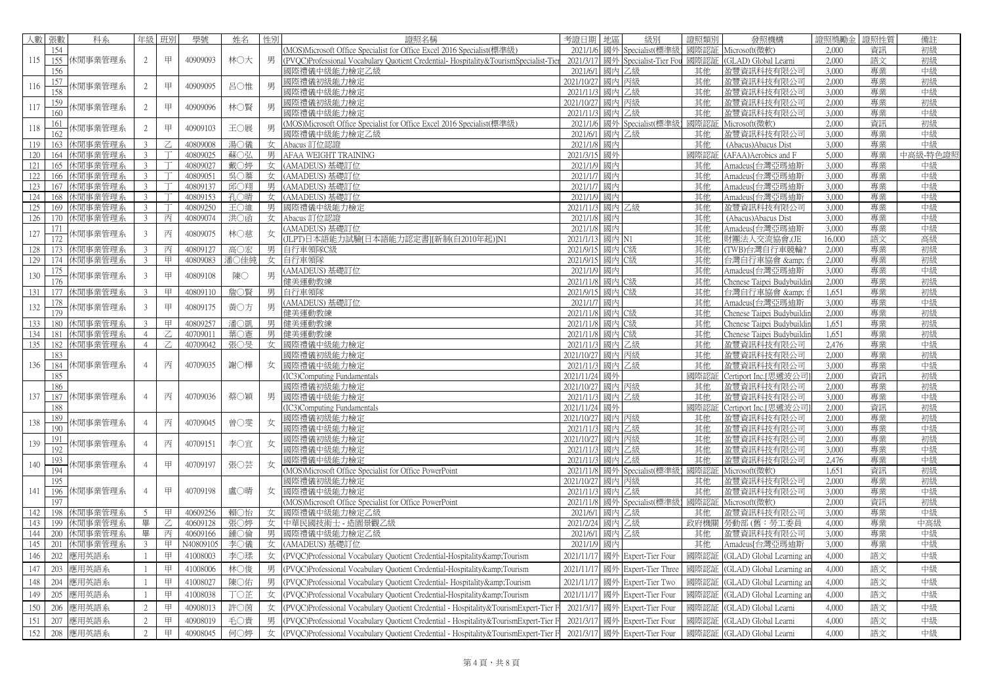| 人數  | 張數  | 科系            | 年級             | 班別      | 學號                   | 姓名   | 性別 | 證照名稱                                                                                        | 地區<br>考證日期                         | 級別                  | 證照類別     | 發照機構                                     | 證照獎勵金          | 强性質      | 備註       |
|-----|-----|---------------|----------------|---------|----------------------|------|----|---------------------------------------------------------------------------------------------|------------------------------------|---------------------|----------|------------------------------------------|----------------|----------|----------|
|     | 154 |               |                |         |                      |      |    | MOS)Microsoft Office Specialist for Office Excel 2016 Specialist(標準級)                       | 2021/1/                            | 國外 Specialist(標準約   | 國際認証     | Microsoft(微軟)                            | 2,000          | 資訊       | 初級       |
| 115 |     | 155 休閒事業管理系   | 2              | 甲       | 40909093             | 林〇大  | 男  | PVOC)Professional Vocabulary Quotient Credential-Hospitality&TourismSpecialist-Tie          | 2021/3/11<br>國外                    | Specialist-Tier Fou | 國際認証     | (GLAD) Global Learni                     | 2.000          | 語文       | 初級       |
|     | 156 |               |                |         |                      |      |    | <b>國際禮儀中級能力檢定乙級</b>                                                                         | 2021/6/1<br>國內                     | 乙級                  | 其他       | 盈豐資訊科技有限公司                               | 3.000          | 專業       | 中級       |
| 116 | 157 | 木閒事業管理系       | $\overline{c}$ | 甲       | 40909095             | 呂〇惟  | 男  | 國際禮儀初級能力檢定                                                                                  | 2021/10/27<br>國內                   | 丙級                  | 其他       | 盈豐資訊科技有限公司                               | 2,000          | 專業       | 初級       |
|     | 158 |               |                |         |                      |      |    | 國際禮儀中級能力檢定                                                                                  | 2021/11/3<br>國內                    | 乙級                  | 其他       | 盈豐資訊科技有限公司                               | 3,000          | 專業       | 中級       |
| 117 | 159 | 木閒事業管理系       | $\overline{2}$ | 甲       | 40909096             | 林○賢  | 男  | 國際禮儀初級能力檢定                                                                                  | 2021/10/27<br>國內                   | 丙級                  | 其他       | 盈豐資訊科技有限公司                               | 2.000          | 專業       | 初級       |
|     | 160 |               |                |         |                      |      |    | 郾際禮儀中級能力檢定                                                                                  | 2021/11/3<br>國內                    | 乙級                  | 其他       | 盈豐資訊科技有限公司                               | 3,000          | 專業       | 中級       |
| 118 | 161 | 木閒事業管理系       | $\overline{2}$ | 甲       | 40909103             | 王〇展  | 男  | MOS)Microsoft Office Specialist for Office Excel 2016 Specialist(標準級)                       | 國外<br>2021/1/6                     | Specialist(標準級      | 國際認      | Microsoft(微軟)                            | 2,000          | 資訊       | 初級       |
|     | 162 |               |                |         |                      |      |    | 剥際禮儀中級能力檢定乙級                                                                                | 2021/6/1<br>國內                     | 乙級                  | 其他       | 盈豐資訊科技有限公司                               | 3.000          | 專業       | 中級       |
| 119 |     | 163 休閒事業管理系   | 3 <sup>1</sup> | $Z_{i}$ | 40809008             | 湯○儀  | 女  | Abacus 訂位認證                                                                                 | 2021/1/8<br>國內                     |                     | 其他       | (Abacus) Abacus Dist                     | 3.000          | 專業       | 中級       |
| 120 |     | 164 休閒事業管理系   | 3 <sup>7</sup> |         | 40809025             | 蘇〇弘  | 男  | AFAA WEIGHT TRAINING                                                                        | 2021/3/15<br>國外                    |                     | 國際認      | (AFAA) Aerobics and F                    | 5,000          | 專業       | 中高級-特色證  |
| 121 |     | 165 休閒事業管理系   | $\mathbf{3}$   |         | 40809027             | 戴○婷  | 女  | AMADEUS)基礎訂位                                                                                | 2021/1/9<br>國內                     |                     | 其他       | Amadeus[台灣亞瑪迪斯                           | 3,000          | 專業       | 中級       |
| 122 | 166 | 休閒事業管理系       | $\mathbf{3}$   |         | 40809051             | 吳○蓁  | 女  | AMADEUS) 基礎訂位                                                                               | 2021/1/7<br>國內                     |                     | 其他       | Amadeus「台灣亞瑪油斯                           | 3,000          | 專業       | 中級       |
| 123 |     | 167 休閒事業管理系   | 3 <sup>7</sup> |         | 40809137             | 邱〇翔  | 男  | AMADEUS) 基礎訂位                                                                               | 2021/1/7<br>國內                     |                     | 其他       | Amadeus[台灣亞瑪迪斯                           | 3,000          | 專業       | 中級       |
| 124 | 168 | 休閒事業管理系       | $\mathcal{E}$  |         | 40809153             | 孔〇晴  | 女  | AMADEUS)基礎訂位                                                                                | 2021/1/9<br>國內                     |                     | 其他       | Amadeus[台灣亞瑪迪斯                           | 3,000          | 專業       | 中級       |
| 125 |     | 169 休閒事業管理系   | $\mathbf{3}$   |         | 40809250             | 王〇維  | 男  | 國際禮儀中級能力檢定                                                                                  | 2021/11/3<br>國內                    | 乙级                  | 其他       | 盈豐資訊科技有限公司                               | 3,000          | 專業       | 中級       |
| 126 |     | 170 休閒事業管理系   | 3 <sup>7</sup> | 丙       | 40809074             | 洪〇函  | 女  | Abacus 訂位認證                                                                                 | 2021/1/8<br>國內                     |                     | 其他       | (Abacus) Abacus Dist                     | 3,000          | 專業       | 中級       |
| 127 | 171 | <b>忖事業管理系</b> | $\mathbf{3}$   | 丙       | 40809075             | 林○慈  | 女  | AMADEUS)基礎訂位                                                                                | 2021/1/8<br>國內                     |                     | 其他       | Amadeus[台灣亞瑪迪斯                           | 3,000          | 專業       | 中級       |
|     | 172 |               |                |         |                      |      |    | ILPT)日本語能力試驗[日本語能力認定書][新制(自2010年起)]N1                                                       | 2021/1/13<br>國內                    |                     | 其他       | 材團法人交流協會,(JE                             | 16,000         | 語文       | 高級       |
| 128 | 173 | 休閒事業管理系       | $\overline{3}$ | 丙       | 40809127             | 高〇宏  | 男  | 自行車領隊C級                                                                                     | 2021/9/15<br>國內                    | C級                  | 其他       | (TWB)台灣自行車競輪?                            | 2.000          | 專業       | 初級       |
| 129 |     | 174 休閒事業管理系   | 3 <sup>7</sup> | 甲       | 40809083             | 潘○佳純 | 女  | 自行車領隊                                                                                       | 2021/9/15                          | 國內 C級               | 其他       | 台灣自行車協會 & f                              | 2,000          | 專業       | 初級       |
| 130 | 175 | 休閒事業管理系       | $\mathbf{3}$   | 甲       | 40809108             | 陳〇   | 男  | AMADEUS) 基礎訂位                                                                               | 2021/1/9<br>國內                     |                     | 其他       | Amadeus[台灣亞瑪迪斯                           | 3,000          | 專業       | 中級       |
|     |     |               |                |         |                      |      |    | 建美運動教練                                                                                      | 2021/11/8<br>國內                    | C級                  | 其他       | Chenese Taipei Budybuildii               | 2,000          | 專業       | 初級       |
| 131 | 177 | 休閒事業管理系       | 3              | 甲       | 40809110             | 詹〇賢  | 男  | 自行車領隊                                                                                       | 2021/9/15<br>國內                    | C級                  | 其他       | 台灣自行車協會 &                                | 1,651          | 專業       | 初級       |
| 132 | 178 | 木閒事業管理系       | 3              | 甲       | 40809175             | 黃○方  | 男  | AMADEUS) 基礎訂位                                                                               | 2021/1/7<br>國內                     |                     | 其他<br>其他 | Amadeus[台灣亞瑪迪斯                           | 3,000          | 專業       | 中級       |
| 133 |     | 180 休閒事業管理系   | $\overline{3}$ | 甲       |                      | 潘○凱  | 男  | 非美運動教練<br>建美運動教練                                                                            | 2021/11/8<br>國內<br>2021/11/8<br>國內 | C級<br>C级            | 其他       | Chenese Taipei Budybuildii               | 2,000<br>1.651 | 專業<br>專業 | 初級<br>初級 |
| 134 | 181 | 休閒事業管理系       | $\overline{4}$ |         | 40809257<br>40709011 | 葉○憲  | 男  | 建美運動教練                                                                                      | 2021/11/8<br>國內                    | C級                  | 其他       | Chenese Taipei Budybuildiı               | 1,651          | 專業       | 初級       |
| 135 |     | 182 休閒事業管理系   | $\overline{4}$ | Z       | 40709042             | 張○旻  | 女  | 國際禮儀中級能力檢定                                                                                  | 2021/11/3<br>國內                    | 乙級                  | 其他       | Chenese Taipei Budybuildir<br>盈豐資訊科技有限公司 | 2.476          | 專業       | 中級       |
|     | 183 |               |                |         |                      |      |    | 哪際禮儀初級能力檢定                                                                                  | 2021/10/27<br>國内                   | 丙級                  | 其他       | 盈豐資訊科技有限公司                               | 2,000          | 專業       | 初級       |
| 136 |     | 184 休閒事業管理系   | $\overline{4}$ | 丙       | 40709035             | 謝○樺  | 女  | 國際禮儀中級能力檢定                                                                                  | 國內<br>2021/11/3                    | 乙級                  | 其他       | 盈豐資訊科技有限公司                               | 3,000          | 專業       | 中級       |
|     | 185 |               |                |         |                      |      |    | IC3)Computing Fundamentals                                                                  | 2021/11/24<br>國外                   |                     | 國際認      | Certiport Inc.[思遞波公司                     | 2,000          | 資訊       | 初級       |
|     | 186 |               |                |         |                      |      |    | 國際禮儀初級能力檢定                                                                                  | 2021/10/27<br>國內                   | 丙級                  | 其他       | 盈豐資訊科技有限公司                               | 2,000          | 專業       | 初級       |
| 137 |     | 187 休閒事業管理系   | $\overline{4}$ | 丙       | 40709036             | 蔡〇穎  | 男  | 國際禮儀中級能力檢定                                                                                  | 2021/11/3<br>國內                    | 乙級                  | 其他       | 盈豐資訊科技有限公司                               | 3,000          | 專業       | 中級       |
|     | 188 |               |                |         |                      |      |    | IC3)Computing Fundamentals                                                                  | 2021/11/24<br>國外                   |                     | 國際認      | Certiport Inc.[思遞波公司                     | 2,000          | 資訊       | 初級       |
|     | 189 |               |                |         |                      |      |    | 國際禮儀初級能力檢定                                                                                  | 國内<br>2021/10/27                   | 丙級                  | 其他       | 盈豐資訊科技有限公司                               | 2,000          | 專業       | 初級       |
| 138 | 190 | 木閒事業管理系       | $\overline{4}$ | 丙       | 40709045             | 曾○雯  | 女  | 國際禮儀中級能力檢定                                                                                  | 2021/11/3<br>國內                    | 乙級                  | 其他       | 盈豐資訊科技有限公司                               | 3.000          | 專業       | 中級       |
|     | 191 |               |                |         |                      |      |    | 國際禮儀初級能力檢定                                                                                  | 2021/10/27<br>國內                   | 丙級                  | 其他       | 盈豐資訊科技有限公司                               | 2,000          | 專業       | 初級       |
| 139 | 192 | 木閒事業管理系       | $\overline{4}$ | 丙       | 40709151             | 李〇宜  | 女  | 國際禮儀中級能力檢定                                                                                  | 2021/11/3<br>國內                    | 乙級                  | 其他       | 盈豐資訊科技有限公司                               | 3,000          | 專業       | 中級       |
|     | 193 |               |                |         |                      |      |    | 郾際禮儀中級能力檢定                                                                                  | 2021/11/3<br>國內                    | 乙級                  | 其他       | 盈豐資訊科技有限公司                               | 2.476          | 專業       | 中級       |
| 140 | 194 | 木閒事業管理系       |                | 甲       | 40709197             | 張〇芸  | 女  | MOS)Microsoft Office Specialist for Office PowerPoint                                       | 2021/11/8                          | 國外 Specialist(標準級   | 國際認証     | Microsoft(微軟)                            | 1.651          | 資訊       | 初級       |
|     | 195 |               |                |         |                      |      |    | <sup>國</sup> 際禮儀初級能力檢定                                                                      | 2021/10/27<br>國內                   | 丙級                  | 其他       | 盈豐資訊科技有限公司                               | 2,000          | 專業       | 初級       |
| 141 |     | 196 休閒事業管理系   | $\overline{4}$ | 甲       | 40709198             | 盧○晴  | 女  | 國際禮儀中級能力檢定                                                                                  | 2021/11/3<br>國內                    | 乙級                  | 其他       | 盈豐資訊科技有限公司                               | 3,000          | 專業       | 中級       |
|     | 197 |               |                |         |                      |      |    | MOS)Microsoft Office Specialist for Office PowerPoint                                       | 2021/11/8                          | 國外 Specialist(標準級   | 國際認      | Microsoft(微軟)                            | 2,000          | 資訊       | 初級       |
| 142 | 198 | 休閒事業管理系       | 5 <sup>5</sup> | 甲       | 40609256             | 賴〇怡  | 女  | <b>國際禮儀中級能力檢定乙級</b>                                                                         | 2021/6/1<br>國内                     | 乙級                  | 其他       | 盈豐資訊科技有限公司                               | 3.000          | 專業       | 中級       |
| 143 | 199 | 休閒事業管理系       | 畢              | Z.      | 40609128             | 張○婷  | 女  | 中華民國技術士 - 造園景觀乙級                                                                            | 2021/2/24<br>國内                    | 乙級                  | 政府機關     | 勞動部 (舊:勞工委員                              | 4,000          | 專業       | 中高級      |
| 144 |     | 200 休閒事業管理系   | 畢              | 丙       | 40609166             | 鍾○倫  | 男  | 國際禮儀中級能力檢定乙級                                                                                | 2021/6/1<br>國內                     | 乙級                  | 其他       | 盈豐資訊科技有限公司                               | 3.000          | 專業       | 中級       |
| 145 |     | 201 休閒事業管理系   | 3 <sup>7</sup> | 甲       | N40809105            | 李○儀  | 女丨 | (AMADEUS) 基礎訂位                                                                              | 2021/1/9<br>國內                     |                     | 其他       | Amadeus[台灣亞瑪迪斯                           | 3,000          | 專業       | 中級       |
| 146 | 202 | 應用英語系         |                | 甲       | 41008003             | 李〇瑈  | 女  | PVQC)Professional Vocabulary Quotient Credential-Hospitality&Tourism                        | 2021/11/17<br>國外                   | Expert-Tier Four    | 國際認証     | (GLAD) Global Learning ar                | 4,000          | 語文       | 中級       |
| 147 | 203 | 應用英語系         | -1             | 甲       | 41008006             | 林○俊  | 男  | PVQC)Professional Vocabulary Quotient Credential-Hospitality&Tourism                        | 2021/11/17<br>國外                   | Expert-Tier Three   | 國際認証     | (GLAD) Global Learning an                | 4,000          | 語文       | 中級       |
|     |     |               |                |         |                      |      |    |                                                                                             |                                    |                     |          |                                          |                |          |          |
| 148 | 204 | 應用英語系         | $\mathbf{1}$   | 甲       | 41008027             | 陳〇佑  | 男  | (PVQC)Professional Vocabulary Quotient Credential-Hospitality&Tourism                       | 2021/11/17<br>國外                   | Expert-Tier Two     | 國際認証     | (GLAD) Global Learning ar                | 4,000          | 語文       | 中級       |
| 149 | 205 | 應用英語系         | -1             | 甲       | 41008038             | 丁〇芷  | 女  | (PVQC)Professional Vocabulary Quotient Credential-Hospitality & amp; Tourism                | 2021/11/17<br>國外                   | Expert-Tier Four    | 國際認証     | (GLAD) Global Learning ar                | 4,000          | 語文       | 中級       |
| 150 | 206 | 應用英語系         | 2              | 甲       | 40908013             | 許〇茵  |    | $\pm$ (PVQC)Professional Vocabulary Quotient Credential - Hospitality & Tourism Expert-Tier | 2021/3/17<br>國外                    | Expert-Tier Four    | 國際認証     | (GLAD) Global Learni                     | 4,000          | 語文       | 中級       |
| 151 | 207 | 應用英語系         | 2              | 甲       | 40908019             | 毛〇貴  | 男  | PVOC)Professional Vocabulary Quotient Credential - Hospitality&TourismExpert-Tier           | 2021/3/11<br>國外                    | Expert-Tier Four    | 國際認証     | (GLAD) Global Learni                     | 4,000          | 語文       | 中級       |
|     |     |               |                |         |                      |      |    |                                                                                             |                                    |                     |          |                                          |                |          |          |
| 152 | 208 | 應用英語系         | $\overline{2}$ | 甲       | 40908045             | 何○婷  | 女  | PVQC)Professional Vocabulary Quotient Credential - Hospitality&TourismExpert-Tier F         | 2021/3/17                          | 國外 Expert-Tier Four | 國際認証     | (GLAD) Global Learni                     | 4,000          | 語文       | 中級       |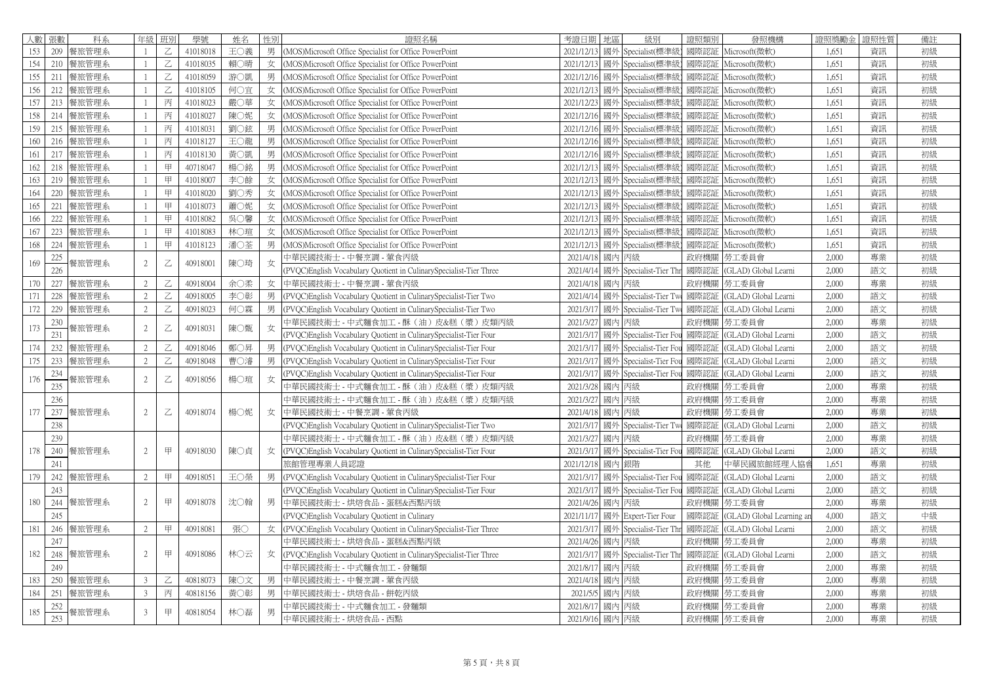| 人數 張數 |     | 科系        | 年級             | 班別                                                                                                                                                                              | 學號       | 姓名  | 性別 | 證照名稱                                                                | 考證日期       | 地區 | 級別                     | 證照類別 | 發照機構                      | 證照獎勵金 | 證照性質 | 備註 |
|-------|-----|-----------|----------------|---------------------------------------------------------------------------------------------------------------------------------------------------------------------------------|----------|-----|----|---------------------------------------------------------------------|------------|----|------------------------|------|---------------------------|-------|------|----|
| 153   | 209 | 餐旅管理系     | $\overline{1}$ | Z                                                                                                                                                                               | 41018018 | 王〇義 |    | 男 (MOS)Microsoft Office Specialist for Office PowerPoint            | 2021/12/13 |    | 國外 Specialist(標準       |      | 國際認証 Microsoft(微軟)        | 1,651 | 資訊   | 初級 |
| 154   |     | 210 餐旅管理系 |                | Z                                                                                                                                                                               | 41018035 | 賴○晴 | 女  | (MOS) Microsoft Office Specialist for Office PowerPoint             | 2021/12/13 |    | 國外 Specialist(標準       |      | 國際認証 Microsoft(微軟)        | 1,651 | 資訊   | 初級 |
| 155   | 211 | 餐旅管理系     |                | $\mathsf{Z}% _{T}=\mathsf{Z}_{T}\!\left( a,b\right) ,\ \mathsf{Z}_{T}=\mathsf{Z}_{T}\!\left( a,b\right) ,\ \mathsf{Z}_{T}=\mathsf{Z}_{T}\!\left( a,b\right) , \label{eq-qt:Z}%$ | 41018059 | 游○凱 |    | 男 (MOS)Microsoft Office Specialist for Office PowerPoint            | 2021/12/16 |    | 國外 Specialist(標準       |      | 國際認証 Microsoft(微軟)        | 1.651 | 資訊   | 初級 |
| 156   | 212 | 餐旅管理系     |                | Z                                                                                                                                                                               | 41018105 | 何〇宜 | 女  | (MOS)Microsoft Office Specialist for Office PowerPoint              | 2021/12/13 |    | 國外 Specialist(標準       | 國際認証 | Microsoft(微軟)             | 1,651 | 資訊   | 初級 |
| 157   |     | 213 餐旅管理系 | $\overline{1}$ | 丙                                                                                                                                                                               | 41018023 | 嚴○華 |    | 女 (MOS)Microsoft Office Specialist for Office PowerPoint            | 2021/12/23 |    | 國外 Specialist(標準       |      | 國際認証 Microsoft(微軟)        | 1,651 | 資訊   | 初級 |
| 158   |     | 214 餐旅管理系 |                | 丙                                                                                                                                                                               | 41018027 | 陳〇妮 | 女  | (MOS) Microsoft Office Specialist for Office PowerPoint             | 2021/12/16 |    | 國外 Specialist(標準       |      | 國際認証 Microsoft(微軟)        | 1,651 | 資訊   | 初級 |
| 159   | 215 | 餐旅管理系     |                | 丙                                                                                                                                                                               | 41018031 | 劉○鉉 |    | 男 (MOS)Microsoft Office Specialist for Office PowerPoint            | 2021/12/16 |    | 國外 Specialist(標準       | 國際認証 | Microsoft(微軟)             | 1,651 | 資訊   | 初級 |
| 160   |     | 216 餐旅管理系 |                | 丙                                                                                                                                                                               | 41018127 | 王〇龍 |    | 男 (MOS)Microsoft Office Specialist for Office PowerPoint            | 2021/12/16 |    | 國外 Specialist(標準       | 國際認証 | Microsoft(微軟)             | 1,651 | 資訊   | 初級 |
| 161   | 217 | 餐旅管理系     |                | 丙                                                                                                                                                                               | 41018130 | 黃〇凱 |    | 男 (MOS)Microsoft Office Specialist for Office PowerPoint            | 2021/12/16 |    | 國外 Specialist(標準       | 國際認証 | Microsoft(微軟)             | 1,651 | 資訊   | 初級 |
| 162   |     | 218 餐旅管理系 |                | 甲                                                                                                                                                                               | 40718047 | 楊○銘 | 男  | (MOS)Microsoft Office Specialist for Office PowerPoint              | 2021/12/13 |    | 國外 Specialist(標準       |      | 國際認証 Microsoft(微軟)        | 1,651 | 資訊   | 初級 |
| 163   | 219 | 餐旅管理系     |                | 甲                                                                                                                                                                               | 41018007 | 李〇餘 |    | 女 (MOS)Microsoft Office Specialist for Office PowerPoint            | 2021/12/13 |    | 國外 Specialist(標準       |      | 國際認証 Microsoft(微軟)        | 1,651 | 資訊   | 初級 |
| 164   | 220 | 餐旅管理系     |                | 甲                                                                                                                                                                               | 41018020 | 劉○秀 |    | 女 (MOS)Microsoft Office Specialist for Office PowerPoint            | 2021/12/13 |    | 國外 Specialist(標準       | 國際認証 | Microsoft(微軟)             | 1,651 | 資訊   | 初級 |
| 165   | 221 | 餐旅管理系     | -1             | 甲                                                                                                                                                                               | 41018073 | 蕭○妮 |    | 女 (MOS)Microsoft Office Specialist for Office PowerPoint            | 2021/12/13 |    | 國外 Specialist(標準       |      | 國際認証 Microsoft(微軟)        | 1,651 | 資訊   | 初級 |
| 166   | 222 | 餐旅管理系     |                | 甲                                                                                                                                                                               | 41018082 | 吳○馨 | 女  | (MOS)Microsoft Office Specialist for Office PowerPoint              | 2021/12/13 |    | 國外 Specialist(標準       | 國際認証 | Microsoft(微軟)             | 1,651 | 資訊   | 初級 |
| 167   |     | 223 餐旅管理系 |                | 甲                                                                                                                                                                               | 41018083 | 林○瑄 |    | 女 (MOS)Microsoft Office Specialist for Office PowerPoint            | 2021/12/13 |    | 國外 Specialist(標準       | 國際認証 | Microsoft(微軟)             | 1,651 | 資訊   | 初級 |
| 168   |     | 224 餐旅管理系 |                | 甲                                                                                                                                                                               | 41018123 | 潘○荃 |    | 男 (MOS)Microsoft Office Specialist for Office PowerPoint            | 2021/12/13 |    | 國外 Specialist(標準       |      | 國際認証 Microsoft(微軟)        | 1,651 | 資訊   | 初級 |
| 169   | 225 | 餐旅管理系     | $\overline{2}$ | Ζ                                                                                                                                                                               | 40918001 | 陳○琦 | 女  | 中華民國技術士 - 中餐烹調 - 葷食丙級                                               | 2021/4/18  | 國內 | 丙級                     |      | 政府機關 勞工委員會                | 2,000 | 專業   | 初級 |
|       | 226 |           |                |                                                                                                                                                                                 |          |     |    | PVQC)English Vocabulary Quotient in CulinarySpecialist-Tier Three   | 2021/4/14  |    | 國外 Specialist-Tier Thr | 國際認証 | (GLAD) Global Learni      | 2,000 | 語文   | 初級 |
| 170   |     | 227 餐旅管理系 | 2              | Z                                                                                                                                                                               | 40918004 | 余〇柔 |    | 女 中華民國技術士 - 中餐烹調 - 葷食丙級                                             | 2021/4/18  | 國內 | 丙級                     | 政府機關 | 勞工委員會                     | 2,000 | 專業   | 初級 |
| 171   | 228 | 餐旅管理系     | 2              | Z                                                                                                                                                                               | 40918005 | 李〇彰 |    | 男 (PVQC)English Vocabulary Quotient in CulinarySpecialist-Tier Two  | 2021/4/14  |    | 國外 Specialist-Tier Tw  | 國際認証 | (GLAD) Global Learni      | 2,000 | 語文   | 初級 |
| 172   |     | 229 餐旅管理系 | 2              | Z                                                                                                                                                                               | 40918023 | 何○霖 |    | 男 (PVQC)English Vocabulary Quotient in CulinarySpecialist-Tier Two  | 2021/3/17  |    | 國外 Specialist-Tier Two | 國際認証 | (GLAD) Global Learni      | 2,000 | 語文   | 初級 |
| 173   | 230 | 餐旅管理系     | $\overline{2}$ | Z                                                                                                                                                                               | 40918031 | 陳〇甄 | 女  | 中華民國技術士 - 中式麵食加工 - 酥(油)皮&糕(漿)皮類丙級                                   | 2021/3/27  | 國內 | 丙級                     |      | 政府機關  勞工委員會               | 2,000 | 專業   | 初級 |
|       | 231 |           |                |                                                                                                                                                                                 |          |     |    | PVQC)English Vocabulary Quotient in CulinarySpecialist-Tier Four    | 2021/3/17  | 國外 | Specialist-Tier Fo     | 國際認証 | (GLAD) Global Learni      | 2,000 | 語文   | 初級 |
| 174   |     | 232 餐旅管理系 | 2              | $\mathsf{Z}% _{T}=\mathsf{Z}_{T}\!\left( a,b\right) ,\ \mathsf{Z}_{T}=\mathsf{Z}_{T}\!\left( a,b\right) ,$                                                                      | 40918046 | 鄭○昇 |    | 男 (PVQC)English Vocabulary Quotient in CulinarySpecialist-Tier Four | 2021/3/17  |    | 國外 Specialist-Tier Fo  | 國際認証 | (GLAD) Global Learni      | 2,000 | 語文   | 初級 |
| 175   |     | 233 餐旅管理系 | 2              | Z                                                                                                                                                                               | 40918048 | 曹○濬 | 男  | (PVQC)English Vocabulary Quotient in CulinarySpecialist-Tier Four   | 2021/3/11  | 國外 | Specialist-Tier Fou    | 國際認証 | (GLAD) Global Learni      | 2,000 | 語文   | 初級 |
| 176   | 234 | 餐旅管理系     | $\overline{2}$ | Z                                                                                                                                                                               | 40918056 | 楊○瑄 | 女  | PVQC)English Vocabulary Quotient in CulinarySpecialist-Tier Four    | 2021/3/17  |    | 國外 Specialist-Tier Fou | 國際認証 | (GLAD) Global Learni      | 2,000 | 語文   | 初級 |
|       | 235 |           |                |                                                                                                                                                                                 |          |     |    | 中華民國技術士 - 中式麵食加工 - 酥 (油) 皮&糕 (漿) 皮類丙級                               | 2021/3/28  | 國內 | 丙級                     | 政府機關 | 勞工委員會                     | 2,000 | 專業   | 初級 |
|       | 236 |           |                |                                                                                                                                                                                 |          |     |    | 中華民國技術士 - 中式麵食加工 - 酥(油)皮&糕(漿)皮類丙級                                   | 2021/3/27  |    | 國內丙級                   |      | 政府機關   勞工委員會              | 2,000 | 專業   | 初級 |
| 177   |     | 237 餐旅管理系 | $\overline{2}$ | $\mathsf{Z}% _{T}=\mathsf{Z}_{T}\!\left( a,b\right) ,\ \mathsf{Z}_{T}=\mathsf{Z}_{T}\!\left( a,b\right) ,\ \mathsf{Z}_{T}=\mathsf{Z}_{T}\!\left( a,b\right) , \label{eq-qt:Z}%$ | 40918074 | 楊○妮 | 女  | 中華民國技術士 - 中餐烹調 - 葷食丙級                                               | 2021/4/18  |    | 國內 丙級                  | 政府機關 | 勞工委員會                     | 2,000 | 專業   | 初級 |
|       | 238 |           |                |                                                                                                                                                                                 |          |     |    | (PVQC)English Vocabulary Quotient in CulinarySpecialist-Tier Two    | 2021/3/17  |    | 國外 Specialist-Tier Tw  | 國際認証 | (GLAD) Global Learni      | 2,000 | 語文   | 初級 |
|       | 239 |           |                |                                                                                                                                                                                 |          |     |    | 中華民國技術士 - 中式麵食加工 - 酥(油)皮&糕(漿)皮類丙級                                   | 2021/3/27  | 國內 | 丙級                     | 政府機關 | 勞工委員會                     | 2,000 | 專業   | 初級 |
| 178   | 240 | 餐旅管理系     | 2              | 甲                                                                                                                                                                               | 40918030 | 陳〇貞 | 女  | (PVQC)English Vocabulary Quotient in CulinarySpecialist-Tier Four   | 2021/3/17  |    | 國外 Specialist-Tier Fou | 國際認証 | (GLAD) Global Learni      | 2,000 | 語文   | 初級 |
|       | 241 |           |                |                                                                                                                                                                                 |          |     |    | 旅館管理專業人員認證                                                          | 2021/12/18 | 國内 | 銀階                     | 其他   | 中華民國旅館經理人協會               | 1,651 | 專業   | 初級 |
| 179   | 242 | 餐旅管理系     | $\overline{2}$ | 甲                                                                                                                                                                               | 40918051 | 王〇榮 | 男  | (PVQC) English Vocabulary Quotient in Culinary Specialist-Tier Four | 2021/3/17  |    | 國外 Specialist-Tier Fc  | 國際認証 | (GLAD) Global Learni      | 2,000 | 語文   | 初級 |
|       | 243 |           |                |                                                                                                                                                                                 |          |     |    | (PVQC)English Vocabulary Quotient in CulinarySpecialist-Tier Four   | 2021/3/17  |    | 國外 Specialist-Tier Fou | 國際認証 | (GLAD) Global Learni      | 2,000 | 語文   | 初級 |
| 180   |     | 244 餐旅管理系 | $\overline{2}$ | 甲                                                                                                                                                                               | 40918078 | 沈〇翰 |    | 男  中華民國技術士 - 烘焙食品 - 蛋糕&西點丙級                                         | 2021/4/26  | 國內 | 丙級                     | 政府機關 | 勞工委員會                     | 2,000 | 專業   | 初級 |
|       | 245 |           |                |                                                                                                                                                                                 |          |     |    | (PVOC)English Vocabulary Quotient in Culinary                       | 2021/11/17 |    | 國外 Expert-Tier Four    | 國際認証 | (GLAD) Global Learning ar | 4,000 | 語文   | 中級 |
| 181   | 246 | 餐旅管理系     | $\overline{2}$ | 甲                                                                                                                                                                               | 40918081 | 張〇  | 女  | (PVQC)English Vocabulary Quotient in CulinarySpecialist-Tier Three  | 2021/3/17  |    | 國外 Specialist-Tier Thi | 國際認証 | (GLAD) Global Learni      | 2,000 | 語文   | 初級 |
|       | 247 |           |                |                                                                                                                                                                                 |          |     |    | 中華民國技術士 - 烘焙食品 - 蛋糕&西點丙級                                            | 2021/4/26  | 國內 | 丙級                     |      | 政府機關  勞工委員會               | 2,000 | 專業   | 初級 |
| 182   | 248 | 餐旅管理系     | $\overline{2}$ | 甲                                                                                                                                                                               | 40918086 | 林〇云 | 女  | (PVQC)English Vocabulary Quotient in CulinarySpecialist-Tier Three  | 2021/3/17  |    | 國外 Specialist-Tier Thr | 國際認証 | (GLAD) Global Learni      | 2,000 | 語文   | 初級 |
|       | 249 |           |                |                                                                                                                                                                                 |          |     |    | 中華民國技術士 - 中式麵食加工 - 發麵類                                              | 2021/8/17  | 國內 | 丙級                     | 政府機關 | 勞工委員會                     | 2.000 | 專業   | 初級 |
| 183   | 250 | 餐旅管理系     | $\mathbf{3}$   | Z                                                                                                                                                                               | 40818073 | 陳〇文 | 男  | 中華民國技術士 - 中餐烹調 - 葷食丙級                                               | 2021/4/18  | 國內 | 丙級                     |      | 政府機關  勞工委員會               | 2,000 | 專業   | 初級 |
| 184   | 251 | 餐旅管理系     | $\mathcal{E}$  | 丙                                                                                                                                                                               | 40818156 | 黃○彰 |    | 男  中華民國技術士 - 烘焙食品 - 餅乾丙級                                            | 2021/5/5   | 國內 | 丙級                     |      | 政府機關  勞工委員會               | 2,000 | 專業   | 初級 |
| 185   | 252 | 餐旅管理系     | $\mathfrak{Z}$ | 甲                                                                                                                                                                               | 40818054 | 林○磊 | 男  | 中華民國技術士 - 中式麵食加工 - 發麵類                                              | 2021/8/17  | 國內 | 丙級                     |      | 政府機關   勞工委員會              | 2,000 | 專業   | 初級 |
|       | 253 |           |                |                                                                                                                                                                                 |          |     |    | 中華民國技術士 - 烘焙食品 - 西點                                                 | 2021/9/16  | 國內 | 丙級                     |      | 政府機關 勞工委員會                | 2.000 | 專業   | 初級 |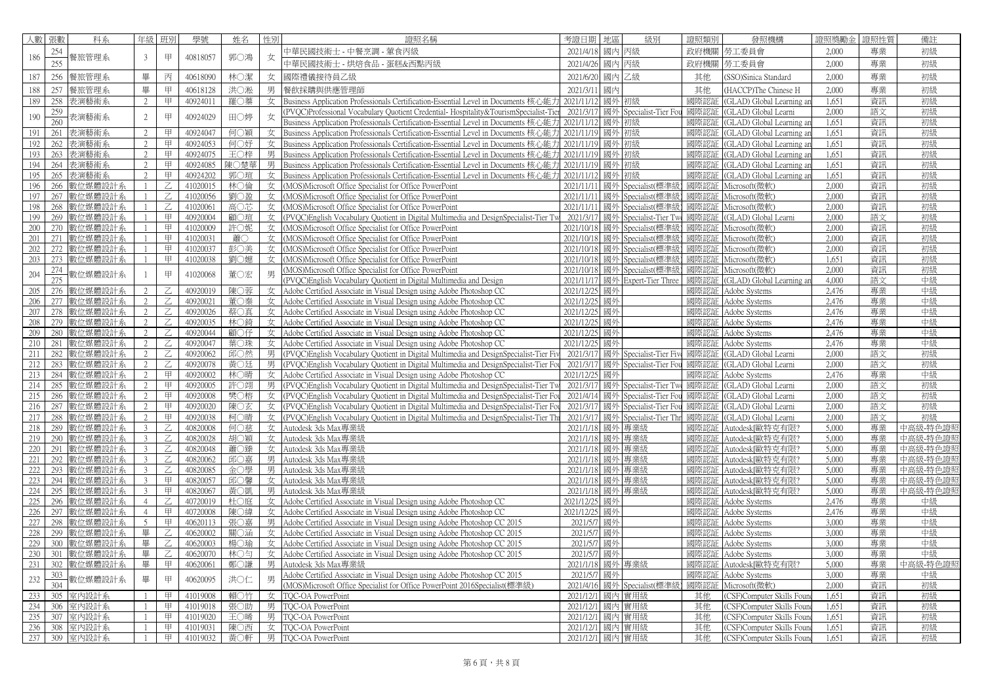| 人數         | 張數              | 科系                    | 年級             | 班別            | 學號                   | 姓名         | 性別 | 證照名稱                                                                                                                                              | 考證日期                    | 地區 | 級別                                        | 證照類別         | 發照機構                                  | 證照獎勵金          | <b>銀性質</b> | 備註       |
|------------|-----------------|-----------------------|----------------|---------------|----------------------|------------|----|---------------------------------------------------------------------------------------------------------------------------------------------------|-------------------------|----|-------------------------------------------|--------------|---------------------------------------|----------------|------------|----------|
|            | 254             |                       |                |               |                      |            |    | 中華民國技術士 - 中餐烹調 - 葷食丙級                                                                                                                             | 2021/4/18               | 國內 | 丙級                                        | 政府機關         | 勞工委員會                                 | 2,000          | 專業         | 初級       |
| 186        | 255             | 餐旅管理系                 | 3              | 甲             | 40818057             | 郭○鴻        | 女  | 中華民國技術士 - 烘焙食品 - 蛋糕&西點丙級                                                                                                                          | 2021/4/26               | 國內 | 丙級                                        | 政府機關         | 勞工委員會                                 | 2,000          | 專業         | 初級       |
|            |                 |                       |                |               |                      |            | 女  |                                                                                                                                                   |                         |    | 乙級                                        |              |                                       | 2,000          | 專業         |          |
| 187        | 256             | 餐旅管理系                 | 畢              | 丙             | 40618090             | 林○潔        |    | 國際禮儀接待員乙級                                                                                                                                         | 2021/6/20               | 國內 |                                           | 其他           | SSO)Sinica Standard                   |                |            | 初級       |
| 188        | 257             | 餐旅管理系                 | 畢              | 甲             | 40618128             | 洪○淞        | 男  | 餐飲採購與供應管理師                                                                                                                                        | 2021/3/11               | 國內 |                                           | 其他           | (HACCP)The Chinese H                  | 2,000          | 專業         | 初級       |
| 189        | 258             | 表演藝術系                 | $\overline{2}$ | 甲             | 40924011             | 羅〇蓁        | 女  | Business Application Professionals Certification-Essential Level in Documents 核心能                                                                 | 2021/11/11              |    | 國外 初級                                     | 國際認          | (GLAD) Global Learning an             | 1.651          | 資訊         | 初級       |
| 190        | 259             | 長演藝術系                 | $\overline{2}$ | 甲             | 40924029             | 田○婷        | 女  | PVOC)Professional Vocabulary Ouotient Credential-Hospitality&TourismSpecialist-Tie                                                                | 2021/3/17               |    | 國外 Specialist-Tier Fou                    | 國際認証         | (GLAD) Global Learni                  | 2.000          | 語文         | 初級       |
|            | 260             |                       |                |               |                      |            |    | Business Application Professionals Certification-Essential Level in Documents 核心能力                                                                | 2021/11/12              |    | 國外 初級                                     | 國際認          | (GLAD) Global Learning ar             | 1,651          | 資訊         | 初級       |
| 191        | 261             | 表演藝術系                 | 2              | 甲             | 40924047             | 何○穎        | 女  | Business Application Professionals Certification-Essential Level in Documents 核心能力                                                                | 2021/11/19              |    | 國外 初級                                     | 國際認          | (GLAD) Global Learning ar             | 1.651          | 資訊         | 初級       |
| 192        | 262             | 表演藝術系                 | 2              | 甲             | 40924053             | 何○妤        |    | 女 Business Application Professionals Certification-Essential Level in Documents 核心能力                                                              | 2021/11/19 國外 初級        |    |                                           | 國際認          | (GLAD) Global Learning an             | 1,651          | 資訊         | 初級       |
| 193        | 263             | 表演藝術系                 | 2              | 甲             | 40924075             | 王〇梓        |    | 男 Business Application Professionals Certification-Essential Level in Documents 核心能力                                                              | 2021/11/19              |    | 國外 初級                                     | 國際認証         | (GLAD) Global Learning an             | 1.651          | 資訊         | 初級       |
| 194        | 264             | 表演藝術系                 | 2              | 甲             | 40924085             | 陳○楚華       |    | 男 Business Application Professionals Certification-Essential Level in Documents 核心能力                                                              | 2021/11/1               | 國外 | 初級                                        | 國際認          | (GLAD) Global Learning ar             | 1.651          | 資訊         | 初級       |
| 195        | 265             | 表演藝術系                 | 2              | 甲             | 40924202             | 郭○瑄        |    | 女 Business Application Professionals Certification-Essential Level in Documents 核心能力                                                              | 2021/11/12              |    | 國外 初級                                     | 國際認証         | (GLAD) Global Learning an             | 1.651<br>2.000 | 資訊         | 初級       |
| 196        | 266             | 數位媒體設計系               |                | $Z_{\rm L}$   | 41020015             | 林○倫        |    | 女   (MOS)Microsoft Office Specialist for Office PowerPoint                                                                                        | 2021/11/11              | 國外 | Specialist(標準級                            | 國際認証         | Microsoft(微軟)                         | 2.000          | 資訊         | 初級       |
| 197        | 267             | 數位媒體設計系               | $\overline{1}$ | Z.            | 41020056             | 劉〇盈        |    | 女 (MOS)Microsoft Office Specialist for Office PowerPoint                                                                                          | 2021/11/11              |    | 國外 Specialist(標準                          | 國際認証         | Microsoft(微軟)                         |                | 資訊         | 初級       |
| 198<br>199 | 268<br>269      | 數位媒體設計系<br>數位媒體設計系    |                | Z.<br>甲       | 41020061<br>40920004 | 高〇芯<br>顧〇瑄 |    | 女   (MOS)Microsoft Office Specialist for Office PowerPoint                                                                                        | 2021/11/11<br>2021/3/17 |    | 國外 Specialist(標準<br>國外 Specialist-Tier Tw | 國際認証<br>國際認証 | Microsoft(微軟)<br>(GLAD) Global Learni | 2,000<br>2.000 | 資訊<br>語文   | 初級<br>初級 |
| 200        | 270             | 數位媒體設計系               |                | 甲             | 41020009             | 許○妮        | 女  | 女 (PVQC)English Vocabulary Quotient in Digital Multimedia and DesignSpecialist-Tier Tw<br>(MOS) Microsoft Office Specialist for Office PowerPoint | 2021/10/18              | 國外 | Specialist(標準                             |              | 國際認証   Microsoft(微軟)                  | 2,000          | 資訊         | 初級       |
| 201        | 271             | 數位媒體設計系               |                | 甲             | 41020031             | 蕭〇         | 女  |                                                                                                                                                   | 2021/10/18              |    | Specialist(標準                             | 國際認証         | Microsoft(微軟)                         | 2,000          | 資訊         | 初級       |
| 202        | 272             | 數位媒體設計系               | -1             | 甲             | 41020037             | 彭〇美        | 女  | (MOS)Microsoft Office Specialist for Office PowerPoint<br>(MOS)Microsoft Office Specialist for Office PowerPoint                                  | 2021/10/18              | 國外 | 國外 Specialist(標準                          | 國際認証         | Microsoft(微軟)                         | 2.000          | 資訊         | 初級       |
| 203        | 273             | 數位媒體設計系               |                | 甲             | 41020038             | 劉○嬨        | 女  | (MOS) Microsoft Office Specialist for Office PowerPoint                                                                                           | 2021/10/18              | 國外 | Specialist(標準級                            | 國際認証         | Microsoft(微軟)                         | 1.651          | 資訊         | 初級       |
|            | 274             |                       |                |               |                      |            |    | (MOS)Microsoft Office Specialist for Office PowerPoint                                                                                            | 2021/10/18              |    | 國外 Specialist(標準                          | 國際認証         | Microsoft(微軟)                         | 2,000          | 資訊         | 初級       |
| 204        | 275             | <mark>数位媒體設計</mark> 系 |                | 甲             | 41020068             | 董〇宏        | 男  | PVOC)English Vocabulary Quotient in Digital Multimedia and Design                                                                                 | 2021/11/17              |    | 國外 Expert-Tier Three                      | 國際認証         | (GLAD) Global Learning an             | 4,000          | 語文         | 中級       |
| 205        | 276             | 數位媒體設計系               | 2              | Z.            | 40920019             | 陳○蓉        | 女  | Adobe Certified Associate in Visual Design using Adobe Photoshop CC                                                                               | 2021/12/25              | 國外 |                                           | 國際認証         | Adobe Systems                         | 2.476          | 專業         | 中級       |
| 206        | 277             | 數位媒體設計系               | 2              | $\mathsf{Z}$  | 40920021             | 董○秦        | 女  | Adobe Certified Associate in Visual Design using Adobe Photoshop CC                                                                               | 2021/12/25              | 國外 |                                           | 國際認証         | Adobe Systems                         | 2,476          | 專業         | 中級       |
| 207        | 278             | 数位媒體設計系               | 2              | Z             | 40920026             | 蔡〇真        | 女  | Adobe Certified Associate in Visual Design using Adobe Photoshop CC                                                                               | 2021/12/25              | 國外 |                                           | 國際認証         | Adobe Systems                         | 2.476          | 專業         | 中級       |
| 208        | 279             | 數位媒體設計系               | 2              | Z             | 40920035             | 林○錡        | 女  | Adobe Certified Associate in Visual Design using Adobe Photoshop CC                                                                               | 2021/12/25              | 國外 |                                           | 國際認          | Adobe Systems                         | 2.476          | 專業         | 中級       |
| 209        | 280             | 数位媒體設計系               | 2              | $\mathsf{Z}$  | 40920044             | 顧〇仔        | 女  | Adobe Certified Associate in Visual Design using Adobe Photoshop CC                                                                               | 2021/12/25              | 國外 |                                           | 國際認証         | Adobe Systems                         | 2,476          | 專業         | 中級       |
| 210        | 281             | 数位媒體設計系               | 2              |               | 40920047             | 葉○珠        | 女  | Adobe Certified Associate in Visual Design using Adobe Photoshop CC                                                                               | 2021/12/25              | 國外 |                                           | 國際認          | Adobe Systems                         | 2,476          | 專業         | 中級       |
| 211        | 282             | 數位媒體設計系               | 2              | Z.            | 40920062             | 邱○然        | 男  | (PVQC)English Vocabulary Quotient in Digital Multimedia and DesignSpecialist-Tier Fi                                                              | 2021/3/17               |    | 國外 Specialist-Tier Fi                     | 國際認          | (GLAD) Global Learni                  | 2.000          | 語文         | 初級       |
| 212        | 283             | 数位媒體設計系               | 2              | Z             | 40920078             | 黃○廷        | 男  | (PVOC) English Vocabulary Quotient in Digital Multimedia and DesignSpecialist-Tier Fo                                                             | 2021/3/11               |    | 國外 Specialist-Tier Fou                    | 國際認語         | (GLAD) Global Learni                  | 2,000          | 語文         | 初級       |
| 213        | 284             | 數位媒體設計系               | 2              | 甲             | 40920002             | 林○晴        | 女  | Adobe Certified Associate in Visual Design using Adobe Photoshop CC                                                                               | 2021/12/25              | 國外 |                                           | 國際認証         | Adobe Systems                         | 2.476          | 專業         | 中級       |
| 214        | 285             | 数位媒體設計系               | 2              | 甲             | 40920005             | 許○翊        | 男  | (PVOC) English Vocabulary Quotient in Digital Multimedia and DesignSpecialist-Tier T                                                              | 2021/3/17               | 國外 | Specialist-Tier Tw                        | 國際認証         | (GLAD) Global Learni                  | 2,000          | 語文         | 初級       |
| 215        | 286             | 數位媒體設計系               | 2              | 甲             | 40920008             | 樊○榕        | 女  | (PVQC)English Vocabulary Quotient in Digital Multimedia and DesignSpecialist-Tier Fo                                                              | 2021/4/14               |    | 國外 Specialist-Tier Fou                    | 國際認証         | (GLAD) Global Learni                  | 2,000          | 語文         | 初級       |
| 216        | 287             | 数位媒體設計系               | $\overline{2}$ | 甲             | 40920020             | 陳〇玄        | 女  | (PVQC)English Vocabulary Quotient in Digital Multimedia and DesignSpecialist-Tier Fo                                                              | 2021/3/17               |    | 國外 Specialist-Tier Fou                    | 國際認証         | (GLAD) Global Learni                  | 2.000          | 語文         | 初級       |
| 217        | 288             | 数位媒體設計系               | 2              | 甲             | 40920038             | 柯○晴        |    | $\overline{\mathcal{L}}$ (PVOC) English Vocabulary Quotient in Digital Multimedia and DesignSpecialist-Tier Th                                    | 2021/3/17               |    | 國外 Specialist-Tier Thr                    | 國際認          | (GLAD) Global Learni                  | 2,000          | 語文         | 初級       |
| 218        | 289             | 數位媒體設計系               | 3              | Z.            | 40820008             | 何○慈        | 女  | Autodesk 3ds Max專業級                                                                                                                               | 2021/1/18               | 國外 | 專業級                                       | 國際認証         | Autodeskl歐特克有限?                       | 5,000          | 專業         | 中高級-特色證  |
| 219        | 290             | 数位媒體設計系               | 3              | Z             | 40820028             | 胡〇穎        | 女  | Autodesk 3ds Max專業級                                                                                                                               | 2021/1/18               | 國外 | 專業級                                       | 國際認証         | Autodesk[歐特克有限?                       | 5,000          | 專業         | 中高級-特色證! |
| 220        | 291             | 數位媒體設計系               | 3              | Z             | 40820048             | 蕭○臻        | 女  | Autodesk 3ds Max專業級                                                                                                                               | 2021/1/18               | 國外 | 專業級                                       | 國際認証         | Autodesk[歐特克有限?                       | 5,000          | 專業         | 中高級-特色證  |
| 221        | 292             | 數位媒體設計系               | $\overline{3}$ | $\mathcal{Z}$ | 40820062             | 邱○嘉        | 男  | Autodesk 3ds Max專業級                                                                                                                               | 2021/1/18               | 國外 | 專業級                                       | 國際認証         | Autodesk[歐特克有限?                       | 5.000          | 專業         | 中高級-特色證  |
| 222        | 293             | 數位媒體設計系               | $\overline{3}$ | Z.            | 40820085             | 金○學        | 男  | Autodesk 3ds Max專業級                                                                                                                               | 2021/1/18               |    | 國外 專業級                                    | 國際認証         | Autodesk「歐特克有限?                       | 5,000          | 專業         | 中高級-特色證  |
| 223        | 294             | 數位媒體設計系               | 3              | 甲             | 40820057             | 邱〇馨        | 女  | Autodesk 3ds Max專業級                                                                                                                               | 2021/1/18               |    | 國外 專業級                                    | 國際認証         | Autodesk[歐特克有限?                       | 5.000          | 專業         | 中高級-特色證  |
| 224        | 295             | 數位媒體設計系               | $\overline{3}$ | 甲             | 40820067             | 黃〇凱        | 男  | Autodesk 3ds Max專業級                                                                                                                               |                         |    | 2021/1/18 國外 專業級                          | 國際認証         | Autodesk[歐特克有限?                       | 5,000          | 專業         | 中高級-特色證! |
| 225        | 296             | 數位媒體設計系               | $\overline{4}$ | Z             | 40720019             | 杜○庭        | 女  | Adobe Certified Associate in Visual Design using Adobe Photoshop CC                                                                               | 2021/12/25              | 國外 |                                           | 國際認証         | Adobe Systems                         | 2.476          | 專業         | 中級       |
| 226        | 297             | 教位媒體設計系               | $\overline{4}$ | 甲             | 40720008             | 陳○緯        | 女  | Adobe Certified Associate in Visual Design using Adobe Photoshop CC                                                                               | 2021/12/25              | 國外 |                                           | 國際認証         | Adobe Systems                         | 2,476          | 專業         | 中級       |
| 227        | 298             | 數位媒體設計系               | 5              | 甲             | 40620113             | 張〇嘉        | 男  | Adobe Certified Associate in Visual Design using Adobe Photoshop CC 2015                                                                          | 2021/57                 | 國外 |                                           | 國際認          | Adobe Systems                         | 3,000          | 專業         | 中級       |
| 228        | 299             | 數位媒體設計系               | 畢              | Z             | 40620002             | 關〇涵        | 女  | Adobe Certified Associate in Visual Design using Adobe Photoshop CC 2015                                                                          | 2021/57                 | 國外 |                                           | 國際認証         | Adobe Systems                         | 3.000          | 專業         | 中級       |
| 229        | 300             | 數位媒體設計系               | 畢              | Z.            | 40620003             | 楊○瑜        | 女  | Adobe Certified Associate in Visual Design using Adobe Photoshop CC 2015                                                                          | 2021/5/                 | 國外 |                                           | 國際認証         | Adobe Systems                         | 3,000          | 專業         | 中級       |
| 230        | 301             | 數位媒體設計系               | 畢              | $Z_{-}$       | 40620070             | 林〇匀        | 女  | Adobe Certified Associate in Visual Design using Adobe Photoshop CC 2015                                                                          | 2021/57                 | 國外 |                                           | 國際認証         | Adobe Systems                         | 3,000          | 專業         | 中級       |
| 231        | 302             | 數位媒體設計系               | 畢              | 甲             | 40620061             | 鄭○謙        | 男  | Autodesk 3ds Max專業級                                                                                                                               | 2021/1/18               |    | 國外 專業級                                    | 國際認証         | Autodesk[歐特克有限?                       | 5,000          | 專業         | 中高級-特色證! |
| 232        | 30 <sup>2</sup> | 數位媒體設計系               | 畢              | 甲             | 40620095             | 洪〇仁        | 男  | Adobe Certified Associate in Visual Design using Adobe Photoshop CC 2015                                                                          | 2021/57                 | 國外 |                                           | 國際認証         | Adobe Systems                         | 3,000          | 專業         | 中級       |
|            | 304             |                       |                |               |                      |            |    | MOS)Microsoft Office Specialist for Office PowerPoint 2016Specialist(標準級)                                                                         | 2021/4/16               |    | 國外 Specialist(標準級                         | 國際認          | Microsoft(微軟)                         | 2.000          | 資訊         | 初級       |
| 233        | 305             | 室内設計系                 |                | 甲             | 41019008             | 賴〇竹        |    | 女 TOC-OA PowerPoint                                                                                                                               | 2021/12/1               |    | 國內 實用級                                    | 其他           | (CSF)Computer Skills Foun             | 1.651          | 資訊         | 初級       |
| 234        | 306             | 室内設計系                 |                | 甲             | 41019018             | 張○助        |    | 男 TOC-OA PowerPoint                                                                                                                               | 2021/12/1               | 國內 | 實用級                                       | 其他           | (CSF)Computer Skills Four             | 1.651          | 資訊         | 初級       |
| 235        | 307             | 室内設計系                 |                | ⊞             | 41019020             | 王〇晞        |    | 男 TOC-OA PowerPoint                                                                                                                               |                         |    | 2021/12/1 國內 實用級                          | 其他           | (CSF)Computer Skills Foun             | 1.651          | 資訊         | 初級       |
| 236        | 308             | 室内設計系                 |                | 甲             | 41019031             | 陳〇西        |    | 女 TOC-OA PowerPoint                                                                                                                               |                         |    | 2021/12/1 國內 實用級                          | 其他           | (CSF)Computer Skills Foun             | 1.651          | 資訊         | 初級       |
| 237        | 309             | 室内設計系                 |                | 甲             | 41019032             | 黃○軒        |    | 男 TOC-OA PowerPoint                                                                                                                               |                         |    | 2021/12/1 國內 實用級                          | 其他           | (CSF)Computer Skills Foun             | 1,651          | 資訊         | 初級       |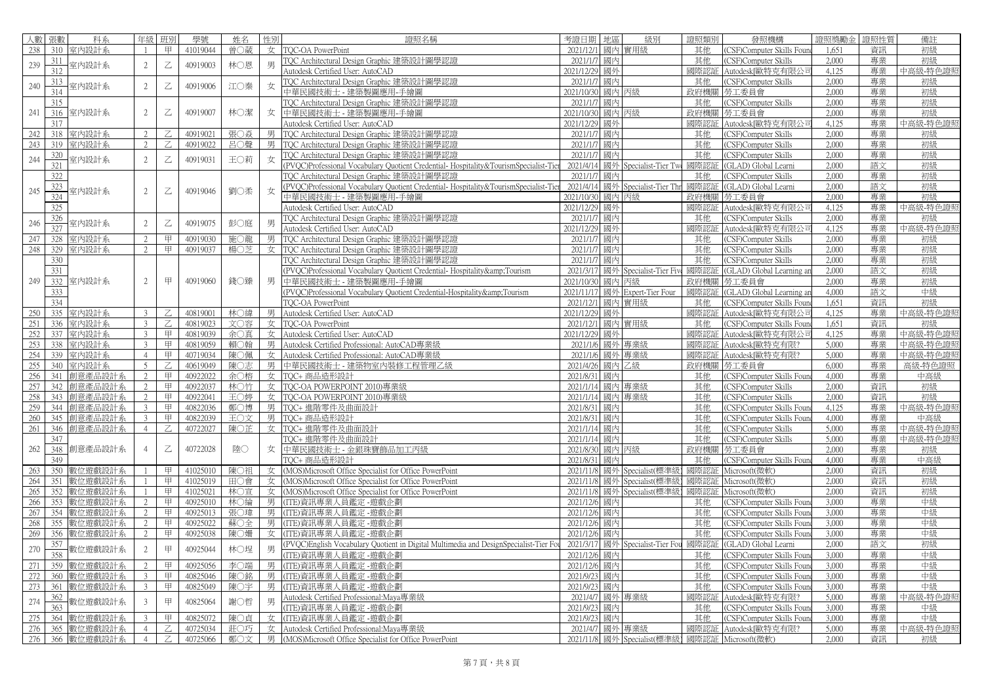| 人數 張數 |     | 科系          | 年級             | 班別                                                                                                                                                                              | 學號       | 姓名  | 性別 | 證照名稱                                                                                | 考證日期       | 地區 | 級別                           | 證照類別 | 發照機構                       | 證照獎勵金 | 證照性質 | 備註       |
|-------|-----|-------------|----------------|---------------------------------------------------------------------------------------------------------------------------------------------------------------------------------|----------|-----|----|-------------------------------------------------------------------------------------|------------|----|------------------------------|------|----------------------------|-------|------|----------|
| 238   | 310 | 室内設計系       | $\overline{1}$ | 甲                                                                                                                                                                               | 41019044 | 曾○葳 |    | 女   TQC-OA PowerPoint                                                               | 2021/12/1  |    | 國內實用級                        | 其他   | (CSF)Computer Skills Foun  | 1,651 | 資訊   | 初級       |
|       | 311 |             |                |                                                                                                                                                                                 |          |     |    | TQC Architectural Design Graphic 建築設計圖學認證                                           | 2021/1/7   | 國內 |                              | 其他   | CSF)Computer Skills        | 2,000 | 專業   | 初級       |
| 239   | 312 | 室内設計系       | 2              | Z                                                                                                                                                                               | 40919003 | 林○恩 | 男  | Autodesk Certified User: AutoCAD                                                    | 2021/12/29 | 國外 |                              | 國際認証 | Autodesk[歐特克有限公司           | 4.125 | 專業   | 中高級-特色證  |
|       | 313 |             |                |                                                                                                                                                                                 |          |     |    | TQC Architectural Design Graphic 建築設計圖學認證                                           | 2021/1/7   | 國內 |                              | 其他   | CSF)Computer Skills        | 2,000 | 專業   | 初級       |
| 240   | 314 | 室内設計系       | $\overline{2}$ | Z                                                                                                                                                                               | 40919006 | 江〇秦 | 女  | 中華民國技術士 - 建築製圖應用-手繪圖                                                                | 2021/10/30 | 國內 | 丙級                           | 政府機關 | 勞工委員會                      | 2,000 | 專業   | 初級       |
|       | 315 |             |                |                                                                                                                                                                                 |          |     |    | TQC Architectural Design Graphic 建築設計圖學認證                                           | 2021/1/7   | 國內 |                              | 其他   | CSF)Computer Skills        | 2.000 | 專業   | 初級       |
| 241   |     | 316 室内設計系   | $\overline{2}$ | $\mathsf{Z}% _{T}=\mathsf{Z}_{T}\!\left( a,b\right) ,\ \mathsf{Z}_{T}=\mathsf{Z}_{T}\!\left( a,b\right) ,$                                                                      | 40919007 | 林○潔 | 女  | 中華民國技術士 - 建築製圖應用-手繪圖                                                                | 2021/10/30 |    | 國內 丙級                        | 政府機關 | 勞工委員會                      | 2,000 | 專業   | 初級       |
|       | 317 |             |                |                                                                                                                                                                                 |          |     |    | Autodesk Certified User: AutoCAD                                                    | 2021/12/29 | 國外 |                              | 國際認  | Autodesk[歐特克有限公i           | 4.125 | 專業   | 中高級-特色證  |
| 242   | 318 | 室内設計系       | 2              |                                                                                                                                                                                 | 40919021 | 張○焱 | 男  | TQC Architectural Design Graphic 建築設計圖學認證                                           | 2021/1/7   | 國內 |                              | 其他   | CSF)Computer Skills        | 2,000 | 專業   | 初級       |
| 243   | 319 | 室内設計系       | 2              | Z.                                                                                                                                                                              | 40919022 | 呂○聲 | 男  | TOC Architectural Design Graphic 建築設計圖學認證                                           | 2021/1/7   | 國內 |                              | 其他   | CSF)Computer Skills        | 2,000 | 專業   | 初級       |
|       | 320 |             |                |                                                                                                                                                                                 |          |     |    | TQC Architectural Design Graphic 建築設計圖學認證                                           | 2021/17    | 國內 |                              | 其他   | CSF)Computer Skills        | 2,000 | 專業   | 初級       |
| 244   | 321 | 室内設計系       | $\overline{2}$ | Z                                                                                                                                                                               | 40919031 | 王〇莉 | 女  | PVOC)Professional Vocabulary Quotient Credential-Hospitality&TourismSpecialist-Tie  | 2021/4/14  |    | 國外 Specialist-Tier Tw        | 國際認  | GLAD) Global Learni        | 2,000 | 語文   | 初級       |
|       | 322 |             |                |                                                                                                                                                                                 |          |     |    | TQC Architectural Design Graphic 建築設計圖學認證                                           | 2021/1/7   | 國內 |                              | 其他   | CSF)Computer Skills        | 2.000 | 專業   | 初級       |
|       | 323 |             |                |                                                                                                                                                                                 |          |     |    | PVQC)Professional Vocabulary Quotient Credential-Hospitality&TourismSpecialist-Tie  | 2021/4/14  |    | 國外 Specialist-Tier Thr       | 國際認証 | (GLAD) Global Learni       | 2,000 | 語文   | 初級       |
| 245   | 324 | 室内設計系       | $\overline{2}$ | $\mathbb Z$                                                                                                                                                                     | 40919046 | 劉〇柔 | 女  | 中華民國技術士 - 建築製圖應用-手繪圖                                                                | 2021/10/30 | 國內 | 丙級                           | 政府機關 | 勞工委員會                      | 2,000 | 專業   | 初級       |
|       | 325 |             |                |                                                                                                                                                                                 |          |     |    | Autodesk Certified User: AutoCAD                                                    | 2021/12/29 | 國外 |                              | 國際認証 | Autodesk[歐特克有限公i           | 4,125 | 專業   | 中高級-特色證  |
|       | 326 |             |                |                                                                                                                                                                                 |          |     |    | TOC Architectural Design Graphic 建築設計圖學認證                                           | 2021/1/7   | 國內 |                              | 其他   | CSF)Computer Skills        | 2,000 | 專業   | 初級       |
| 246   | 327 | 室内設計系       | $\overline{2}$ | $\mathsf{Z}% _{T}=\mathsf{Z}_{T}\!\left( a,b\right) ,\ \mathsf{Z}_{T}=\mathsf{Z}_{T}\!\left( a,b\right) ,$                                                                      | 40919075 | 彭○庭 |    | Autodesk Certified User: AutoCAD                                                    | 2021/12/29 | 國外 |                              | 國際認  | Autodesk[歐特克有限公i           | 4,125 | 專業   | 中高級-特色證  |
| 247   | 328 | 室内設計系       | 2              | 甲                                                                                                                                                                               | 40919030 | 施〇龍 | 男  | TOC Architectural Design Graphic 建築設計圖學認證                                           | 2021/1/7   | 國內 |                              | 其他   | <b>CSF)Computer Skills</b> | 2,000 | 專業   | 初級       |
| 248   |     | 329 室内設計系   | 2              | 甲                                                                                                                                                                               | 40919037 | 楊〇芝 |    | 女   TQC Architectural Design Graphic 建築設計圖學認證                                       | 2021/1/7   | 國內 |                              | 其他   | CSF)Computer Skills        | 2.000 | 專業   | 初級       |
|       | 330 |             |                |                                                                                                                                                                                 |          |     |    | TQC Architectural Design Graphic 建築設計圖學認證                                           | 2021/1/    | 國內 |                              | 其他   | CSF)Computer Skills        | 2,000 | 專業   | 初級       |
|       | 331 |             |                |                                                                                                                                                                                 |          |     |    | (PVOC)Professional Vocabulary Quotient Credential-Hospitality&Tourism               | 2021/3/17  |    | 國外 Specialist-Tier Five      | 國際認  | GLAD) Global Learning ar   | 2,000 | 語文   | 初級       |
| 249   |     | 332 室内設計系   | $\overline{2}$ | 甲                                                                                                                                                                               | 40919060 | 錢○臻 | 男  | 中華民國技術士 - 建築製圖應用-手繪圖                                                                | 2021/10/30 | 國內 | 丙級                           | 政府機關 | 勞工委員會                      | 2,000 | 專業   | 初級       |
|       | 333 |             |                |                                                                                                                                                                                 |          |     |    | (PVOC)Professional Vocabulary Quotient Credential-Hospitality&Tourism               | 2021/11/17 | 國外 | Expert-Tier Four             | 國際認証 | (GLAD) Global Learning ar  | 4,000 | 語文   | 中級       |
|       | 334 |             |                |                                                                                                                                                                                 |          |     |    | TOC-OA PowerPoint                                                                   | 2021/12/   | 國內 | 實用級                          | 其他   | CSF)Computer Skills Four   | 1,651 | 資訊   | 初級       |
| 250   | 335 | 室内設計系       | 3              |                                                                                                                                                                                 | 40819001 | 林○緯 | 男  | Autodesk Certified User: AutoCAD                                                    | 2021/12/29 | 國外 |                              | 國際認証 | Autodesk[歐特克有限公司           | 4.125 | 專業   | 中高級-特色證  |
| 251   | 336 | 室内設計系       | $\mathbf{3}$   | Z                                                                                                                                                                               | 40819023 | 文〇容 |    | 女   TQC-OA PowerPoint                                                               | 2021/12/1  |    | 國內實用級                        | 其他   | CSF)Computer Skills Foun   | 1.651 | 資訊   | 初級       |
| 252   | 337 | 室内設計系       | $\overline{3}$ | 甲                                                                                                                                                                               | 40819039 | 余〇真 |    | 女 Autodesk Certified User: AutoCAD                                                  | 2021/12/29 | 國外 |                              | 國際認証 | Autodesk[歐特克有限公司           | 4.125 | 專業   | 中高級-特色證  |
| 253   | 338 | 室内設計系       | $\mathbf{3}$   | 甲                                                                                                                                                                               | 40819059 | 賴〇翰 |    | 男 Autodesk Certified Professional: AutoCAD專業級                                       | 2021/1/6   |    | 國外 專業級                       | 國際認  | Autodesk[歐特克有限?            | 5,000 | 專業   | 中高級-特色證! |
| 254   | 339 | 室内設計系       | $\overline{4}$ | 甲                                                                                                                                                                               | 40719034 | 陳○佩 | 女  | Autodesk Certified Professional: AutoCAD專業級                                         | 2021/1/6   | 國外 | 專業級                          | 國際認証 | Autodesk[歐特克有限?            | 5,000 | 專業   | 中高級-特色證  |
| 255   | 340 | 室内設計系       | 5              | Z                                                                                                                                                                               | 40619049 | 陳〇志 |    | 男 中華民國技術士 - 建築物室內裝修工程管理乙級                                                           | 2021/4/26  |    | 國內乙級                         | 政府機關 | 勞工委員會                      | 6,000 | 專業   | 高級-特色證照  |
| 256   | 341 | 創意產品設計系     | 2              | 甲                                                                                                                                                                               | 40922022 | 余○榕 |    | 女 TQC+ 商品造形設計                                                                       | 2021/8/31  | 國內 |                              | 其他   | CSF)Computer Skills Four   | 4.000 | 專業   | 中高級      |
| 257   | 342 | 訓意產品設計系     | 2              | 甲                                                                                                                                                                               | 40922037 | 林○竹 |    | 女   TOC-OA POWERPOINT 2010)專業級                                                      | 2021/1/14  | 國內 | 專業級                          | 其他   | CSF)Computer Skills        | 2,000 | 資訊   | 初級       |
| 258   | 343 | 創意產品設計系     | 2              | 甲                                                                                                                                                                               | 40922041 | 王〇婷 |    | 女 TOC-OA POWERPOINT 2010)專業級                                                        | 2021/1/14  | 國內 | 專業級                          | 其他   | CSF)Computer Skills        | 2.000 | 資訊   | 初級       |
| 259   | 344 | 創意產品設計系     | $\overline{3}$ | 甲                                                                                                                                                                               | 40822036 | 鄭○博 |    | 男  TOC+ 進階零件及曲面設計                                                                   | 2021/8/31  | 國內 |                              | 其他   | CSF)Computer Skills Foun   | 4.125 | 專業   | 中高級-特色證則 |
| 260   |     | 345 創意產品設計系 | $\overline{3}$ | 甲                                                                                                                                                                               | 40822039 | 王〇文 |    | 男 TOC+ 商品造形設計                                                                       | 2021/8/31  | 國內 |                              | 其他   | CSF)Computer Skills Foun   | 4,000 | 專業   | 中高級      |
| 261   | 346 | 創意產品設計系     | $\overline{4}$ | Z                                                                                                                                                                               | 40722027 | 陳〇芷 |    | 女 TOC+ 進階零件及曲面設計                                                                    | 2021/1/14  | 國內 |                              | 其他   | CSF)Computer Skills        | 5,000 | 專業   | 中高級-特色證  |
|       | 347 |             |                |                                                                                                                                                                                 |          |     |    | TOC+ 進階零件及曲面設計                                                                      | 2021/1/14  | 國內 |                              | 其他   | (CSF)Computer Skills       | 5,000 | 專業   | 中高級-特色證則 |
| 262   | 348 | 創意產品設計系     | $\overline{4}$ | $\mathsf{Z}% _{T}=\mathsf{Z}_{T}\!\left( a,b\right) ,\ \mathsf{Z}_{T}=\mathsf{Z}_{T}\!\left( a,b\right) ,\ \mathsf{Z}_{T}=\mathsf{Z}_{T}\!\left( a,b\right) , \label{eq-qt:Z}%$ | 40722028 | 陸〇  | 女  | 中華民國技術士 - 金銀珠寶飾品加工丙級                                                                | 2021/8/30  | 國內 | 丙級                           | 政府機關 | 勞工委員會                      | 2.000 | 專業   | 初級       |
|       | 349 |             |                |                                                                                                                                                                                 |          |     |    | TOC+商品造形設計                                                                          | 2021/8/31  | 國內 |                              | 其他   | CSF)Computer Skills Foun   | 4,000 | 專業   | 中高級      |
| 263   | 350 | 數位遊戲設計系     |                | 甲                                                                                                                                                                               | 41025010 | 陳○祖 |    | 女 (MOS)Microsoft Office Specialist for Office PowerPoint                            | 2021/11/8  |    | 國外 Specialist(標準級            | 國際認  | Microsoft(微軟)              | 2,000 | 資訊   | 初級       |
| 264   | 351 | 數位游戲設計系     |                | 甲                                                                                                                                                                               | 41025019 | 田〇會 | 女  | (MOS) Microsoft Office Specialist for Office PowerPoint                             | 2021/11/8  |    | 國外 Specialist(標準             | 國際認  | Microsoft(微軟)              | 2,000 | 資訊   | 初級       |
| 265   | 352 | 數位游戲設計系     |                | 甲                                                                                                                                                                               | 41025021 | 林○宣 |    | 女 (MOS)Microsoft Office Specialist for Office PowerPoint                            | 2021/11/8  |    | 國外 Specialist(標準約            | 國際認  | Microsoft(微軟)              | 2,000 | 資訊   | 初級       |
| 266   | 353 | 數位遊戲設計系     | 2              | 甲                                                                                                                                                                               | 40925010 | 林○綸 |    | 男 (ITE)資訊專業人員鑑定 -遊戲企劃                                                               | 2021/12/   | 國內 |                              | 其他   | CSF)Computer Skills Four   | 3,000 | 專業   | 中級       |
| 267   | 354 | 數位游戲設計系     | 2              | 甲                                                                                                                                                                               | 40925013 | 張○瑋 | 男  | TTE)資訊專業人員鑑定 -游戲企劃                                                                  | 2021/12/6  | 國內 |                              | 其他   | CSF)Computer Skills Foun   | 3.000 | 專業   | 中級       |
| 268   | 355 | 數位遊戲設計系     | 2              | 甲                                                                                                                                                                               | 40925022 | 蘇〇全 |    | 男 (ITE)資訊專業人員鑑定 -遊戲企劃                                                               | 2021/12/6  | 國內 |                              | 其他   | CSF)Computer Skills Foun   | 3,000 | 專業   | 中級       |
| 269   | 356 | 數位游戲設計系     | 2              | 甲                                                                                                                                                                               | 40925038 | 陳〇姍 |    | 女 ITE)資訊專業人員鑑定 -游戲企劃                                                                | 2021/12/6  | 國內 |                              | 其他   | CSF)Computer Skills Foun   | 3,000 | 專業   | 中級       |
| 270   | 357 |             | $\overline{2}$ | 甲                                                                                                                                                                               | 40925044 | 林○埕 | 男  | PVQC)English Vocabulary Quotient in Digital Multimedia and DesignSpecialist-Tier Fo | 2021/3/17  |    | 國外 Specialist-Tier Fou       | 國際認  | GLAD) Global Learni        | 2.000 | 語文   | 初級       |
|       | 358 | 数位遊戲設計系     |                |                                                                                                                                                                                 |          |     |    | (ITE)資訊專業人員鑑定 -遊戲企劃                                                                 | 2021/12/6  | 國內 |                              | 其他   | (CSF)Computer Skills Foun  | 3,000 | 專業   | 中級       |
| 271   | 359 | 數位游戲設計系     | $2^{1}$        | 甲                                                                                                                                                                               | 40925056 | 李〇端 | 男  | (ITE)資訊專業人員鑑定 - 游戲企劃                                                                | 2021/12/6  | 國內 |                              | 其他   | CSF)Computer Skills Foun   | 3,000 | 專業   | 中級       |
| 272   | 360 | 數位遊戲設計系     | 3              | 甲                                                                                                                                                                               | 40825046 | 陳○銘 | 男  | (ITE)資訊專業人員鑑定 -遊戲企劃                                                                 | 2021/9/2   | 國內 |                              | 其他   | CSF)Computer Skills Foun   | 3,000 | 專業   | 中級       |
| 273   | 361 | 數位遊戲設計系     | $\overline{3}$ | 甲                                                                                                                                                                               | 40825049 | 陳〇宇 | 男  | TTE)資訊專業人員鑑定 -遊戲企劃                                                                  | 2021/9/23  | 國內 |                              | 其他   | CSF)Computer Skills Foun   | 3,000 | 專業   | 中級       |
| 274   | 362 | 數位遊戲設計系     | $\overline{3}$ | 甲                                                                                                                                                                               | 40825064 | 謝○哲 | 男  | Autodesk Certified Professional:Maya專業級                                             | 2021/4/7   |    | 國外 專業級                       | 國際認  | Autodesk[歐特克有限?            | 5,000 | 專業   | 中高級-特色證則 |
|       | 363 |             |                |                                                                                                                                                                                 |          |     |    | TTE)資訊專業人員鑑定 -遊戲企劃                                                                  | 2021/9/23  | 國內 |                              | 其他   | CSF)Computer Skills Foun   | 3,000 | 專業   | 中級       |
| 275   |     | 364 數位遊戲設計系 | 3              | 甲                                                                                                                                                                               | 40825072 | 陳〇貞 |    | 女   (ITE)資訊專業人員鑑定 - 遊戲企劃                                                            | 2021/9/23  | 國內 |                              | 其他   | CSF)Computer Skills Foun   | 3,000 | 專業   | 中級       |
| 276   | 365 | 數位遊戲設計系     | $\overline{4}$ | Z.                                                                                                                                                                              | 40725034 | 莊〇巧 |    | 女   Autodesk Certified Professional:Maya專業級                                         |            |    | 2021/4/7 國外 專業級              | 國際認証 | Autodesk[歐特克有限?            | 5,000 | 專業   | 中高級-特色證! |
| 276   |     | 366 數位遊戲設計系 | $\overline{4}$ | Z                                                                                                                                                                               | 40725066 | 鄭〇文 |    | 男 (MOS)Microsoft Office Specialist for Office PowerPoint                            |            |    | 2021/11/8 國外 Specialist(標準級) |      | 國際認証 Microsoft(微軟)         | 2,000 | 資訊   | 初級       |